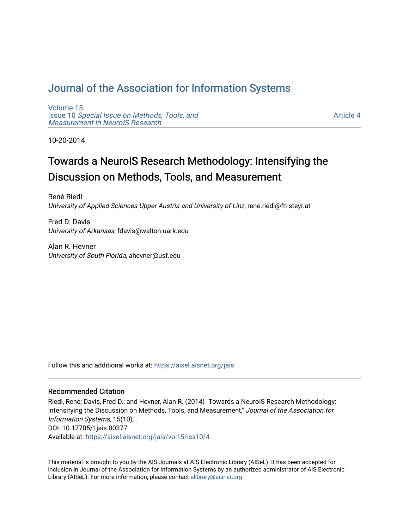# [Journal of the Association for Information Systems](https://aisel.aisnet.org/jais)

[Volume 15](https://aisel.aisnet.org/jais/vol15) Issue 10 [Special Issue on Methods, Tools, and](https://aisel.aisnet.org/jais/vol15/iss10)  [Measurement in NeuroIS Research](https://aisel.aisnet.org/jais/vol15/iss10)

[Article 4](https://aisel.aisnet.org/jais/vol15/iss10/4) 

10-20-2014

# Towards a NeuroIS Research Methodology: Intensifying the Discussion on Methods, Tools, and Measurement

René Riedl University of Applied Sciences Upper Austria and University of Linz, rene.riedl@fh-steyr.at

Fred D. Davis University of Arkansas, fdavis@walton.uark.edu

Alan R. Hevner University of South Florida, ahevner@usf.edu

Follow this and additional works at: [https://aisel.aisnet.org/jais](https://aisel.aisnet.org/jais?utm_source=aisel.aisnet.org%2Fjais%2Fvol15%2Fiss10%2F4&utm_medium=PDF&utm_campaign=PDFCoverPages) 

#### Recommended Citation

Riedl, René; Davis, Fred D.; and Hevner, Alan R. (2014) "Towards a NeuroIS Research Methodology: Intensifying the Discussion on Methods, Tools, and Measurement," Journal of the Association for Information Systems, 15(10), . DOI: 10.17705/1jais.00377 Available at: [https://aisel.aisnet.org/jais/vol15/iss10/4](https://aisel.aisnet.org/jais/vol15/iss10/4?utm_source=aisel.aisnet.org%2Fjais%2Fvol15%2Fiss10%2F4&utm_medium=PDF&utm_campaign=PDFCoverPages) 

This material is brought to you by the AIS Journals at AIS Electronic Library (AISeL). It has been accepted for inclusion in Journal of the Association for Information Systems by an authorized administrator of AIS Electronic Library (AISeL). For more information, please contact [elibrary@aisnet.org.](mailto:elibrary@aisnet.org%3E)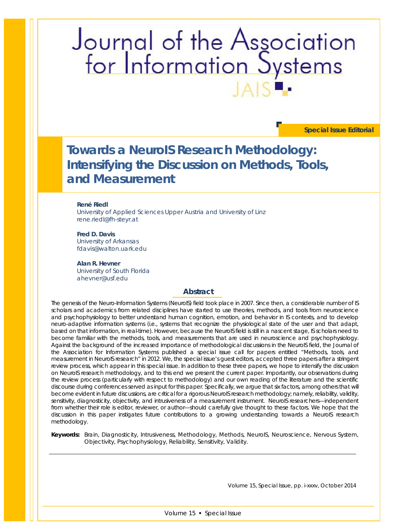# Journal of the Association<br>for Information Systems

**Special Issue Editorial**

# **Towards a NeuroIS Research Methodology: Intensifying the Discussion on Methods, Tools, and Measurement**

#### **René Riedl**

University of Applied Sciences Upper Austria and University of Linz rene.riedl@fh-steyr.at

**Fred D. Davis** University of Arkansas fdavis@walton.uark.edu

**Alan R. Hevner** University of South Florida ahevner@usf.edu

#### **Abstract**

*The genesis of the Neuro-Information Systems (NeuroIS) field took place in 2007. Since then, a considerable number of IS scholars and academics from related disciplines have started to use theories, methods, and tools from neuroscience and psychophysiology to better understand human cognition, emotion, and behavior in IS contexts, and to develop neuro-adaptive information systems (i.e., systems that recognize the physiological state of the user and that adapt, based on that information, in real-time). However, because the NeuroIS field is still in a nascent stage, IS scholars need to become familiar with the methods, tools, and measurements that are used in neuroscience and psychophysiology. Against the background of the increased importance of methodological discussions in the NeuroIS field, the Journal of*  the Association for Information Systems published a special issue call for papers entitled "Methods, tools, and *measurement in NeuroIS research" in 2012. We, the special issue's guest editors, accepted three papers after a stringent review process, which appear in this special issue. In addition to these three papers, we hope to intensify the discussion on NeuroIS research methodology, and to this end we present the current paper. Importantly, our observations during the review process (particularly with respect to methodology) and our own reading of the literature and the scientific*  discourse during conferences served as input for this paper. Specifically, we argue that six factors, among others that will *become evident in future discussions, are critical for a rigorous NeuroIS research methodology; namely, reliability, validity, sensitivity, diagnosticity, objectivity, and intrusiveness of a measurement instrument. NeuroIS researchers—independent from whether their role is editor, reviewer, or author—should carefully give thought to these factors. We hope that the discussion in this paper instigates future contributions to a growing understanding towards a NeuroIS research methodology.*

*Keywords: Brain, Diagnosticity, Intrusiveness, Methodology, Methods, NeuroIS, Neuroscience, Nervous System, Objectivity, Psychophysiology, Reliability, Sensitivity, Validity.*

Volume 15, Special Issue, pp. i-xxxv, October 2014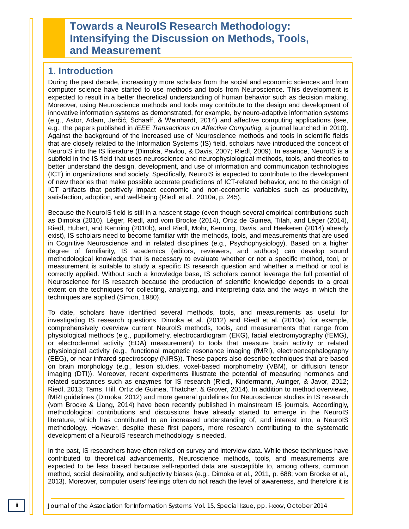# **Towards a NeuroIS Research Methodology: Intensifying the Discussion on Methods, Tools, and Measurement**

## **1. Introduction**

During the past decade, increasingly more scholars from the social and economic sciences and from computer science have started to use methods and tools from Neuroscience. This development is expected to result in a better theoretical understanding of human behavior such as decision making. Moreover, using Neuroscience methods and tools may contribute to the design and development of innovative information systems as demonstrated, for example, by neuro-adaptive information systems (e.g., Astor, Adam, Jerčić, Schaaff, & Weinhardt, 2014) and affective computing applications (see, e.g., the papers published in *IEEE Transactions on Affective Computing,* a journal launched in 2010). Against the background of the increased use of Neuroscience methods and tools in scientific fields that are closely related to the Information Systems (IS) field, scholars have introduced the concept of NeuroIS into the IS literature (Dimoka, Pavlou, & Davis, 2007; Riedl, 2009). In essence, NeuroIS is a subfield in the IS field that uses neuroscience and neurophysiological methods, tools, and theories to better understand the design, development, and use of information and communication technologies (ICT) in organizations and society. Specifically, NeuroIS is expected to contribute to the development of new theories that make possible accurate predictions of ICT-related behavior, and to the design of ICT artifacts that positively impact economic and non-economic variables such as productivity, satisfaction, adoption, and well-being (Riedl et al., 2010a, p. 245).

Because the NeuroIS field is still in a nascent stage (even though several empirical contributions such as Dimoka (2010), Léger, Riedl, and vom Brocke (2014), Ortiz de Guinea, Titah, and Léger (2014), Riedl, Hubert, and Kenning (2010b), and Riedl, Mohr, Kenning, Davis, and Heekeren (2014) already exist), IS scholars need to become familiar with the methods, tools, and measurements that are used in Cognitive Neuroscience and in related disciplines (e.g., Psychophysiology). Based on a higher degree of familiarity, IS academics (editors, reviewers, and authors) can develop sound methodological knowledge that is necessary to evaluate whether or not a specific method, tool, or measurement is suitable to study a specific IS research question and whether a method or tool is correctly applied. Without such a knowledge base, IS scholars cannot leverage the full potential of Neuroscience for IS research because the production of scientific knowledge depends to a great extent on the techniques for collecting, analyzing, and interpreting data and the ways in which the techniques are applied (Simon, 1980).

To date, scholars have identified several methods, tools, and measurements as useful for investigating IS research questions. Dimoka et al. (2012) and Riedl et al. (2010a), for example, comprehensively overview current NeuroIS methods, tools, and measurements that range from physiological methods (e.g., pupillometry, electrocardiogram (EKG), facial electromyography (fEMG), or electrodermal activity (EDA) measurement) to tools that measure brain activity or related physiological activity (e.g., functional magnetic resonance imaging (fMRI), electroencephalography (EEG), or near infrared spectroscopy (NIRS)). These papers also describe techniques that are based on brain morphology (e.g., lesion studies, voxel-based morphometry (VBM), or diffusion tensor imaging (DTI)). Moreover, recent experiments illustrate the potential of measuring hormones and related substances such as enzymes for IS research (Riedl, Kindermann, Auinger, & Javor, 2012; Riedl, 2013; Tams, Hill, Ortiz de Guinea, Thatcher, & Grover, 2014). In addition to method overviews, fMRI guidelines (Dimoka, 2012) and more general guidelines for Neuroscience studies in IS research (vom Brocke & Liang, 2014) have been recently published in mainstream IS journals. Accordingly, methodological contributions and discussions have already started to emerge in the NeuroIS literature, which has contributed to an increased understanding of, and interest into, a NeuroIS methodology. However, despite these first papers, more research contributing to the systematic development of a NeuroIS research methodology is needed.

In the past, IS researchers have often relied on survey and interview data. While these techniques have contributed to theoretical advancements, Neuroscience methods, tools, and measurements are expected to be less biased because self-reported data are susceptible to, among others, common method, social desirability, and subjectivity biases (e.g., Dimoka et al., 2011, p. 688; vom Brocke et al., 2013). Moreover, computer users' feelings often do not reach the level of awareness, and therefore it is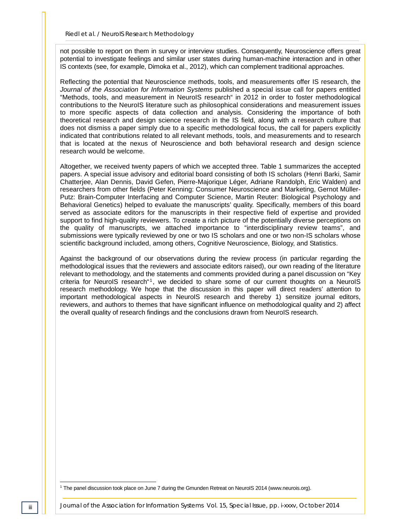not possible to report on them in survey or interview studies. Consequently, Neuroscience offers great potential to investigate feelings and similar user states during human-machine interaction and in other IS contexts (see, for example, Dimoka et al., 2012), which can complement traditional approaches.

Reflecting the potential that Neuroscience methods, tools, and measurements offer IS research, the *Journal of the Association for Information Systems* published a special issue call for papers entitled "Methods, tools, and measurement in NeuroIS research" in 2012 in order to foster methodological contributions to the NeuroIS literature such as philosophical considerations and measurement issues to more specific aspects of data collection and analysis. Considering the importance of both theoretical research and design science research in the IS field, along with a research culture that does not dismiss a paper simply due to a specific methodological focus, the call for papers explicitly indicated that contributions related to all relevant methods, tools, and measurements and to research that is located at the nexus of Neuroscience and both behavioral research and design science research would be welcome.

Altogether, we received twenty papers of which we accepted three. Table 1 summarizes the accepted papers. A special issue advisory and editorial board consisting of both IS scholars (Henri Barki, Samir Chatterjee, Alan Dennis, David Gefen, Pierre-Majorique Léger, Adriane Randolph, Eric Walden) and researchers from other fields (Peter Kenning: Consumer Neuroscience and Marketing, Gernot Müller-Putz: Brain-Computer Interfacing and Computer Science, Martin Reuter: Biological Psychology and Behavioral Genetics) helped to evaluate the manuscripts' quality. Specifically, members of this board served as associate editors for the manuscripts in their respective field of expertise and provided support to find high-quality reviewers. To create a rich picture of the potentially diverse perceptions on the quality of manuscripts, we attached importance to "interdisciplinary review teams", and submissions were typically reviewed by one or two IS scholars and one or two non-IS scholars whose scientific background included, among others, Cognitive Neuroscience, Biology, and Statistics.

Against the background of our observations during the review process (in particular regarding the methodological issues that the reviewers and associate editors raised), our own reading of the literature relevant to methodology, and the statements and comments provided during a panel discussion on "Key criteria for NeuroIS research"<sup>1</sup>, we decided to share some of our current thoughts on a NeuroIS research methodology. We hope that the discussion in this paper will direct readers' attention to important methodological aspects in NeuroIS research and thereby 1) sensitize journal editors, reviewers, and authors to themes that have significant influence on methodological quality and 2) affect the overall quality of research findings and the conclusions drawn from NeuroIS research.

j

<sup>1</sup> The panel discussion took place on June 7 during the Gmunden Retreat on NeuroIS 2014 (www.neurois.org).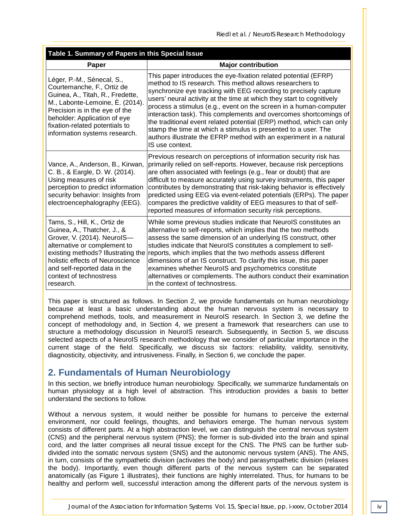| Table 1. Summary of Papers in this Special Issue                                                                                                                                                                                                                              |                                                                                                                                                                                                                                                                                                                                                                                                                                                                                                                                                                                                                                                       |  |  |
|-------------------------------------------------------------------------------------------------------------------------------------------------------------------------------------------------------------------------------------------------------------------------------|-------------------------------------------------------------------------------------------------------------------------------------------------------------------------------------------------------------------------------------------------------------------------------------------------------------------------------------------------------------------------------------------------------------------------------------------------------------------------------------------------------------------------------------------------------------------------------------------------------------------------------------------------------|--|--|
| Paper                                                                                                                                                                                                                                                                         | <b>Major contribution</b>                                                                                                                                                                                                                                                                                                                                                                                                                                                                                                                                                                                                                             |  |  |
| Léger, P.-M., Sénecal, S.,<br>Courtemanche, F., Ortiz de<br>Guinea, A., Titah, R., Fredette,<br>M., Labonte-Lemoine, È. (2014).<br>Precision is in the eye of the<br>beholder: Application of eye<br>fixation-related potentials to<br>information systems research.          | This paper introduces the eye-fixation related potential (EFRP)<br>method to IS research. This method allows researchers to<br>synchronize eye tracking with EEG recording to precisely capture<br>users' neural activity at the time at which they start to cognitively<br>process a stimulus (e.g., event on the screen in a human-computer<br>interaction task). This complements and overcomes shortcomings of<br>the traditional event related potential (ERP) method, which can only<br>stamp the time at which a stimulus is presented to a user. The<br>authors illustrate the EFRP method with an experiment in a natural<br>IS use context. |  |  |
| Vance, A., Anderson, B., Kirwan,<br>C. B., & Eargle, D. W. (2014).<br>Using measures of risk<br>perception to predict information<br>security behavior: Insights from<br>electroencephalography (EEG).                                                                        | Previous research on perceptions of information security risk has<br>primarily relied on self-reports. However, because risk perceptions<br>are often associated with feelings (e.g., fear or doubt) that are<br>difficult to measure accurately using survey instruments, this paper<br>contributes by demonstrating that risk-taking behavior is effectively<br>predicted using EEG via event-related potentials (ERPs). The paper<br>compares the predictive validity of EEG measures to that of self-<br>reported measures of information security risk perceptions.                                                                              |  |  |
| Tams, S., Hill, K., Ortiz de<br>Guinea, A., Thatcher, J., &<br>Grover, V. (2014). NeurolS-<br>alternative or complement to<br>existing methods? Illustrating the<br>holistic effects of Neuroscience<br>and self-reported data in the<br>context of technostress<br>research. | While some previous studies indicate that NeurolS constitutes an<br>alternative to self-reports, which implies that the two methods<br>assess the same dimension of an underlying IS construct, other<br>studies indicate that NeurolS constitutes a complement to self-<br>reports, which implies that the two methods assess different<br>dimensions of an IS construct. To clarify this issue, this paper<br>examines whether NeurolS and psychometrics constitute<br>alternatives or complements. The authors conduct their examination<br>in the context of technostress.                                                                        |  |  |

This paper is structured as follows. In Section 2, we provide fundamentals on human neurobiology because at least a basic understanding about the human nervous system is necessary to comprehend methods, tools, and measurement in NeuroIS research. In Section 3, we define the concept of methodology and, in Section 4, we present a framework that researchers can use to structure a methodology discussion in NeuroIS research. Subsequently, in Section 5, we discuss selected aspects of a NeuroIS research methodology that we consider of particular importance in the current stage of the field. Specifically, we discuss six factors: reliability, validity, sensitivity, diagnosticity, objectivity, and intrusiveness. Finally, in Section 6, we conclude the paper.

# **2. Fundamentals of Human Neurobiology**

In this section, we briefly introduce human neurobiology. Specifically, we summarize fundamentals on human physiology at a high level of abstraction. This introduction provides a basis to better understand the sections to follow.

Without a nervous system, it would neither be possible for humans to perceive the external environment, nor could feelings, thoughts, and behaviors emerge. The human nervous system consists of different parts. At a high abstraction level, we can distinguish the central nervous system (CNS) and the peripheral nervous system (PNS); the former is sub-divided into the brain and spinal cord, and the latter comprises all neural tissue except for the CNS. The PNS can be further subdivided into the somatic nervous system (SNS) and the autonomic nervous system (ANS). The ANS, in turn, consists of the sympathetic division (activates the body) and parasympathetic division (relaxes the body). Importantly, even though different parts of the nervous system can be separated anatomically (as Figure 1 illustrates), their functions are highly interrelated. Thus, for humans to be healthy and perform well, successful interaction among the different parts of the nervous system is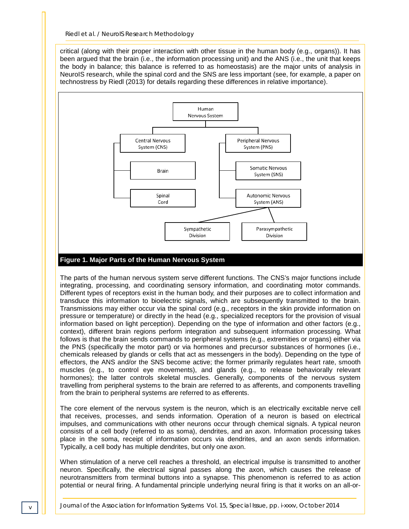critical (along with their proper interaction with other tissue in the human body (e.g., organs)). It has been argued that the brain (i.e., the information processing unit) and the ANS (i.e., the unit that keeps the body in balance; this balance is referred to as homeostasis) are the major units of analysis in NeuroIS research, while the spinal cord and the SNS are less important (see, for example, a paper on technostress by Riedl (2013) for details regarding these differences in relative importance).



The parts of the human nervous system serve different functions. The CNS's major functions include integrating, processing, and coordinating sensory information, and coordinating motor commands. Different types of receptors exist in the human body, and their purposes are to collect information and transduce this information to bioelectric signals, which are subsequently transmitted to the brain. Transmissions may either occur via the spinal cord (e.g., receptors in the skin provide information on pressure or temperature) or directly in the head (e.g., specialized receptors for the provision of visual information based on light perception). Depending on the type of information and other factors (e.g., context), different brain regions perform integration and subsequent information processing. What follows is that the brain sends commands to peripheral systems (e.g., extremities or organs) either via the PNS (specifically the motor part) or via hormones and precursor substances of hormones (i.e., chemicals released by glands or cells that act as messengers in the body). Depending on the type of effectors, the ANS and/or the SNS become active; the former primarily regulates heart rate, smooth muscles (e.g., to control eye movements), and glands (e.g., to release behaviorally relevant hormones); the latter controls skeletal muscles. Generally, components of the nervous system travelling from peripheral systems to the brain are referred to as afferents, and components travelling from the brain to peripheral systems are referred to as efferents.

The core element of the nervous system is the neuron, which is an electrically excitable nerve cell that receives, processes, and sends information. Operation of a neuron is based on electrical impulses, and communications with other neurons occur through chemical signals. A typical neuron consists of a cell body (referred to as soma), dendrites, and an axon. Information processing takes place in the soma, receipt of information occurs via dendrites, and an axon sends information. Typically, a cell body has multiple dendrites, but only one axon.

When stimulation of a nerve cell reaches a threshold, an electrical impulse is transmitted to another neuron. Specifically, the electrical signal passes along the axon, which causes the release of neurotransmitters from terminal buttons into a synapse. This phenomenon is referred to as action potential or neural firing. A fundamental principle underlying neural firing is that it works on an all-or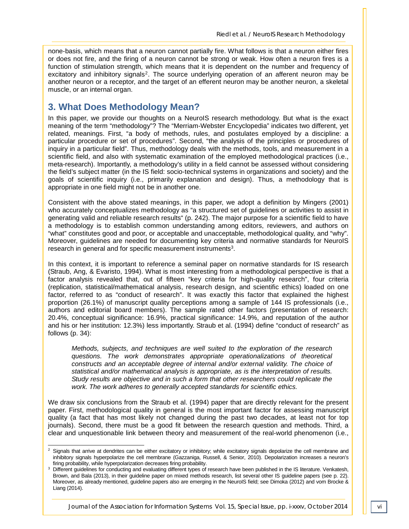none-basis, which means that a neuron cannot partially fire. What follows is that a neuron either fires or does not fire, and the firing of a neuron cannot be strong or weak. How often a neuron fires is a function of stimulation strength, which means that it is dependent on the number and frequency of excitatory and inhibitory signals<sup>2</sup>. The source underlying operation of an afferent neuron may be another neuron or a receptor, and the target of an efferent neuron may be another neuron, a skeletal muscle, or an internal organ.

## **3. What Does Methodology Mean?**

In this paper, we provide our thoughts on a NeuroIS research methodology. But what is the exact meaning of the term "methodology"? The "Merriam-Webster Encyclopedia" indicates two different, yet related, meanings. First, "a body of methods, rules, and postulates employed by a discipline: a particular procedure or set of procedures". Second, "the analysis of the principles or procedures of inquiry in a particular field". Thus, methodology deals with the methods, tools, and measurement in a scientific field, and also with systematic examination of the employed methodological practices (i.e., meta-research). Importantly, a methodology's utility in a field cannot be assessed without considering the field's subject matter (in the IS field: socio-technical systems in organizations and society) and the goals of scientific inquiry (i.e., primarily explanation and design). Thus, a methodology that is appropriate in one field might not be in another one.

Consistent with the above stated meanings, in this paper, we adopt a definition by Mingers (2001) who accurately conceptualizes methodology as "a structured set of guidelines or activities to assist in generating valid and reliable research results" (p. 242). The major purpose for a scientific field to have a methodology is to establish common understanding among editors, reviewers, and authors on "what" constitutes good and poor, or acceptable and unacceptable, methodological quality, and "why". Moreover, guidelines are needed for documenting key criteria and normative standards for NeuroIS research in general and for specific measurement instruments<sup>3</sup>.

In this context, it is important to reference a seminal paper on normative standards for IS research (Straub, Ang, & Evaristo, 1994). What is most interesting from a methodological perspective is that a factor analysis revealed that, out of fifteen "key criteria for high-quality research", four criteria (replication, statistical/mathematical analysis, research design, and scientific ethics) loaded on one factor, referred to as "conduct of research". It was exactly this factor that explained the highest proportion (26.1%) of manuscript quality perceptions among a sample of 144 IS professionals (i.e., authors and editorial board members). The sample rated other factors (presentation of research: 20.4%, conceptual significance: 16.9%, practical significance: 14.9%, and reputation of the author and his or her institution: 12.3%) less importantly. Straub et al. (1994) define "conduct of research" as follows (p. 34):

*Methods, subjects, and techniques are well suited to the exploration of the research questions. The work demonstrates appropriate operationalizations of theoretical constructs and an acceptable degree of internal and/or external validity. The choice of statistical and/or mathematical analysis is appropriate, as is the interpretation of results. Study results are objective and in such a form that other researchers could replicate the work. The work adheres to generally accepted standards for scientific ethics.*

We draw six conclusions from the Straub et al. (1994) paper that are directly relevant for the present paper. First, methodological quality in general is the most important factor for assessing manuscript quality (a fact that has most likely not changed during the past two decades, at least not for top journals). Second, there must be a good fit between the research question and methods. Third, a clear and unquestionable link between theory and measurement of the real-world phenomenon (i.e.,

<sup>&</sup>lt;sup>2</sup> Signals that arrive at dendrites can be either excitatory or inhibitory; while excitatory signals depolarize the cell membrane and inhibitory signals hyperpolarize the cell membrane (Gazzaniga, Russell, & Senior, 2010). Depolarization increases a neuron's firing probability, while hyperpolarization decreases firing probability. -

<sup>&</sup>lt;sup>3</sup> Different guidelines for conducting and evaluating different types of research have been published in the IS literature. Venkatesh, Brown, and Bala (2013), in their guideline paper on mixed methods research, list several other IS guideline papers (see p. 22). Moreover, as already mentioned, guideline papers also are emerging in the NeuroIS field; see Dimoka (2012) and vom Brocke & Liang (2014).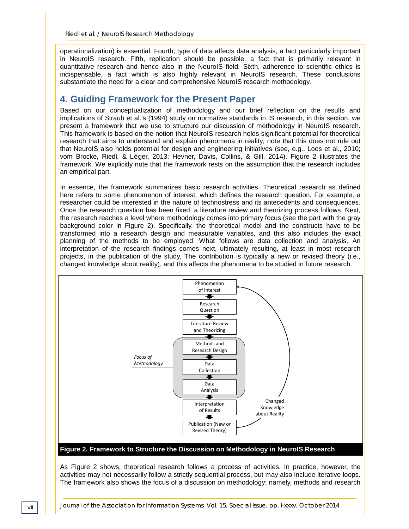operationalization) is essential. Fourth, type of data affects data analysis, a fact particularly important in NeuroIS research. Fifth, replication should be possible, a fact that is primarily relevant in quantitative research and hence also in the NeuroIS field. Sixth, adherence to scientific ethics is indispensable, a fact which is also highly relevant in NeuroIS research. These conclusions substantiate the need for a clear and comprehensive NeuroIS research methodology.

## **4. Guiding Framework for the Present Paper**

Based on our conceptualization of methodology and our brief reflection on the results and implications of Straub et al.'s (1994) study on normative standards in IS research, in this section, we present a framework that we use to structure our discussion of methodology in NeuroIS research. This framework is based on the notion that NeuroIS research holds significant potential for theoretical research that aims to understand and explain phenomena in reality; note that this does not rule out that NeuroIS also holds potential for design and engineering initiatives (see, e.g., Loos et al., 2010; vom Brocke, Riedl, & Léger, 2013; Hevner, Davis, Collins, & Gill, 2014). Figure 2 illustrates the framework. We explicitly note that the framework rests on the assumption that the research includes an empirical part.

In essence, the framework summarizes basic research activities. Theoretical research as defined here refers to some phenomenon of interest, which defines the research question. For example, a researcher could be interested in the nature of technostress and its antecedents and consequences. Once the research question has been fixed, a literature review and theorizing process follows. Next, the research reaches a level where methodology comes into primary focus (see the part with the gray background color in Figure 2). Specifically, the theoretical model and the constructs have to be transformed into a research design and measurable variables, and this also includes the exact planning of the methods to be employed. What follows are data collection and analysis. An interpretation of the research findings comes next, ultimately resulting, at least in most research projects, in the publication of the study. The contribution is typically a new or revised theory (i.e., changed knowledge about reality), and this affects the phenomena to be studied in future research.



#### **Figure 2. Framework to Structure the Discussion on Methodology in NeuroIS Research**

As Figure 2 shows, theoretical research follows a process of activities. In practice, however, the activities may not necessarily follow a strictly sequential process, but may also include iterative loops. The framework also shows the focus of a discussion on methodology; namely, methods and research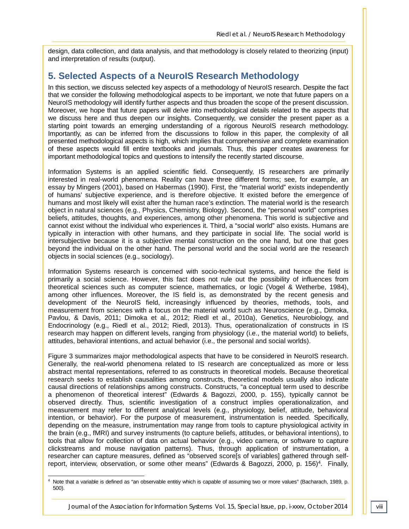design, data collection, and data analysis, and that methodology is closely related to theorizing (input) and interpretation of results (output).

## **5. Selected Aspects of a NeuroIS Research Methodology**

In this section, we discuss selected key aspects of a methodology of NeuroIS research. Despite the fact that we consider the following methodological aspects to be important, we note that future papers on a NeuroIS methodology will identify further aspects and thus broaden the scope of the present discussion. Moreover, we hope that future papers will delve into methodological details related to the aspects that we discuss here and thus deepen our insights. Consequently, we consider the present paper as a starting point towards an emerging understanding of a rigorous NeuroIS research methodology. Importantly, as can be inferred from the discussions to follow in this paper, the complexity of all presented methodological aspects is high, which implies that comprehensive and complete examination of these aspects would fill entire textbooks and journals. Thus, this paper creates awareness for important methodological topics and questions to intensify the recently started discourse.

Information Systems is an applied scientific field. Consequently, IS researchers are primarily interested in real-world phenomena. Reality can have three different forms; see, for example, an essay by Mingers (2001), based on Habermas (1990). First, the "material world" exists independently of humans' subjective experience, and is therefore objective. It existed before the emergence of humans and most likely will exist after the human race's extinction. The material world is the research object in natural sciences (e.g., Physics, Chemistry, Biology). Second, the "personal world" comprises beliefs, attitudes, thoughts, and experiences, among other phenomena. This world is subjective and cannot exist without the individual who experiences it. Third, a "social world" also exists. Humans are typically in interaction with other humans, and they participate in social life. The social world is intersubjective because it is a subjective mental construction on the one hand, but one that goes beyond the individual on the other hand. The personal world and the social world are the research objects in social sciences (e.g., sociology).

Information Systems research is concerned with socio-technical systems, and hence the field is primarily a social science. However, this fact does not rule out the possibility of influences from theoretical sciences such as computer science, mathematics, or logic (Vogel & Wetherbe, 1984), among other influences. Moreover, the IS field is, as demonstrated by the recent genesis and development of the NeuroIS field, increasingly influenced by theories, methods, tools, and measurement from sciences with a focus on the material world such as Neuroscience (e.g., Dimoka, Pavlou, & Davis, 2011; Dimoka et al., 2012; Riedl et al., 2010a), Genetics, Neurobiology, and Endocrinology (e.g., Riedl et al., 2012; Riedl, 2013). Thus, operationalization of constructs in IS research may happen on different levels, ranging from physiology (i.e., the material world) to beliefs, attitudes, behavioral intentions, and actual behavior (i.e., the personal and social worlds).

Figure 3 summarizes major methodological aspects that have to be considered in NeuroIS research. Generally, the real-world phenomena related to IS research are conceptualized as more or less abstract mental representations, referred to as constructs in theoretical models. Because theoretical research seeks to establish causalities among constructs, theoretical models usually also indicate causal directions of relationships among constructs. Constructs, "a conceptual term used to describe a phenomenon of theoretical interest" (Edwards & Bagozzi, 2000, p. 155), typically cannot be observed directly. Thus, scientific investigation of a construct implies operationalization, and measurement may refer to different analytical levels (e.g., physiology, belief, attitude, behavioral intention, or behavior). For the purpose of measurement, instrumentation is needed. Specifically, depending on the measure, instrumentation may range from tools to capture physiological activity in the brain (e.g., fMRI) and survey instruments (to capture beliefs, attitudes, or behavioral intentions), to tools that allow for collection of data on actual behavior (e.g., video camera, or software to capture clickstreams and mouse navigation patterns). Thus, through application of instrumentation, a researcher can capture measures, defined as "observed score[s of variables] gathered through selfreport, interview, observation, or some other means" (Edwards & Bagozzi, 2000, p. 156)<sup>4</sup>. Finally,

<sup>4</sup> Note that a variable is defined as "an observable entitiy which is capable of assuming two or more values" (Bacharach, 1989, p. 500). -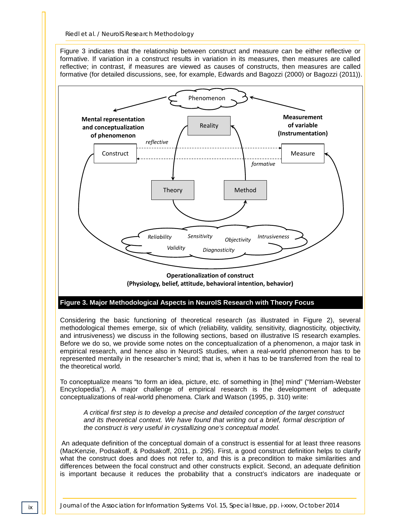Figure 3 indicates that the relationship between construct and measure can be either reflective or formative. If variation in a construct results in variation in its measures, then measures are called reflective; in contrast, if measures are viewed as causes of constructs, then measures are called formative (for detailed discussions, see, for example, Edwards and Bagozzi (2000) or Bagozzi (2011)).



Considering the basic functioning of theoretical research (as illustrated in Figure 2), several methodological themes emerge, six of which (reliability, validity, sensitivity, diagnosticity, objectivity, and intrusiveness) we discuss in the following sections, based on illustrative IS research examples. Before we do so, we provide some notes on the conceptualization of a phenomenon, a major task in empirical research, and hence also in NeuroIS studies, when a real-world phenomenon has to be represented mentally in the researcher's mind; that is, when it has to be transferred from the real to the theoretical world.

To conceptualize means "to form an idea, picture, etc. of something in [the] mind" ("Merriam-Webster Encyclopedia"). A major challenge of empirical research is the development of adequate conceptualizations of real-world phenomena. Clark and Watson (1995, p. 310) write:

*A critical first step is to develop a precise and detailed conception of the target construct and its theoretical context. We have found that writing out a brief, formal description of the construct is very useful in crystallizing one's conceptual model.*

An adequate definition of the conceptual domain of a construct is essential for at least three reasons (MacKenzie, Podsakoff, & Podsakoff, 2011, p. 295). First, a good construct definition helps to clarify what the construct does and does not refer to, and this is a precondition to make similarities and differences between the focal construct and other constructs explicit. Second, an adequate definition is important because it reduces the probability that a construct's indicators are inadequate or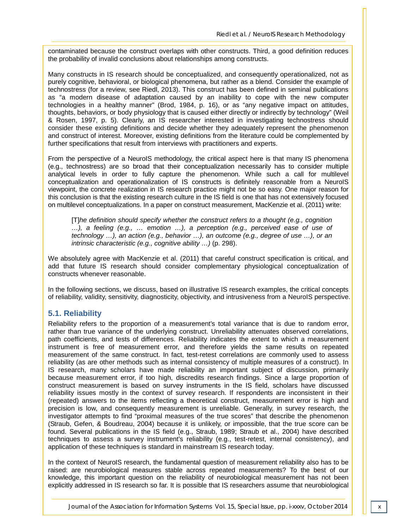contaminated because the construct overlaps with other constructs. Third, a good definition reduces the probability of invalid conclusions about relationships among constructs.

Many constructs in IS research should be conceptualized, and consequently operationalized, not as purely cognitive, behavioral, or biological phenomena, but rather as a blend. Consider the example of technostress (for a review, see Riedl, 2013). This construct has been defined in seminal publications as "a modern disease of adaptation caused by an inability to cope with the new computer technologies in a healthy manner" (Brod, 1984, p. 16), or as "any negative impact on attitudes, thoughts, behaviors, or body physiology that is caused either directly or indirectly by technology" (Weil & Rosen, 1997, p. 5). Clearly, an IS researcher interested in investigating technostress should consider these existing definitions and decide whether they adequately represent the phenomenon and construct of interest. Moreover, existing definitions from the literature could be complemented by further specifications that result from interviews with practitioners and experts.

From the perspective of a NeuroIS methodology, the critical aspect here is that many IS phenomena (e.g., technostress) are so broad that their conceptualization necessarily has to consider multiple analytical levels in order to fully capture the phenomenon. While such a call for multilevel conceptualization and operationalization of IS constructs is definitely reasonable from a NeuroIS viewpoint, the concrete realization in IS research practice might not be so easy. One major reason for this conclusion is that the existing research culture in the IS field is one that has not extensively focused on multilevel conceptualizations. In a paper on construct measurement, MacKenzie et al. (2011) write:

[T]*he definition should specify whether the construct refers to a thought (e.g., cognition …), a feeling (e.g., … emotion …), a perception (e.g., perceived ease of use of technology …), an action (e.g., behavior …), an outcome (e.g., degree of use …), or an intrinsic characteristic (e.g., cognitive ability …)* (p. 298).

We absolutely agree with MacKenzie et al. (2011) that careful construct specification is critical, and add that future IS research should consider complementary physiological conceptualization of constructs whenever reasonable.

In the following sections, we discuss, based on illustrative IS research examples, the critical concepts of reliability, validity, sensitivity, diagnosticity, objectivity, and intrusiveness from a NeuroIS perspective.

#### **5.1. Reliability**

Reliability refers to the proportion of a measurement's total variance that is due to random error, rather than true variance of the underlying construct. Unreliability attenuates observed correlations, path coefficients, and tests of differences. Reliability indicates the extent to which a measurement instrument is free of measurement error, and therefore yields the same results on repeated measurement of the same construct. In fact, test-retest correlations are commonly used to assess reliability (as are other methods such as internal consistency of multiple measures of a construct). In IS research, many scholars have made reliability an important subject of discussion, primarily because measurement error, if too high, discredits research findings. Since a large proportion of construct measurement is based on survey instruments in the IS field, scholars have discussed reliability issues mostly in the context of survey research. If respondents are inconsistent in their (repeated) answers to the items reflecting a theoretical construct, measurement error is high and precision is low, and consequently measurement is unreliable. Generally, in survey research, the investigator attempts to find "proximal measures of the true scores" that describe the phenomenon (Straub, Gefen, & Boudreau, 2004) because it is unlikely, or impossible, that the true score can be found. Several publications in the IS field (e.g., Straub, 1989; Straub et al., 2004) have described techniques to assess a survey instrument's reliability (e.g., test-retest, internal consistency), and application of these techniques is standard in mainstream IS research today.

In the context of NeuroIS research, the fundamental question of measurement reliability also has to be raised: are neurobiological measures stable across repeated measurements? To the best of our knowledge, this important question on the reliability of neurobiological measurement has not been explicitly addressed in IS research so far. It is possible that IS researchers assume that neurobiological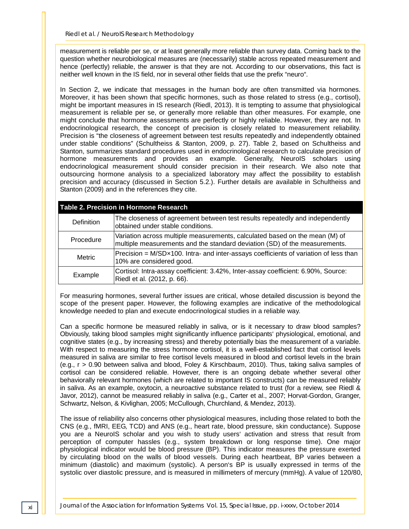measurement is reliable per se, or at least generally more reliable than survey data. Coming back to the question whether neurobiological measures are (necessarily) stable across repeated measurement and hence (perfectly) reliable, the answer is that they are not. According to our observations, this fact is neither well known in the IS field, nor in several other fields that use the prefix "neuro".

In Section 2, we indicate that messages in the human body are often transmitted via hormones. Moreover, it has been shown that specific hormones, such as those related to stress (e.g., cortisol), might be important measures in IS research (Riedl, 2013). It is tempting to assume that physiological measurement is reliable per se, or generally more reliable than other measures. For example, one might conclude that hormone assessments are perfectly or highly reliable. However, they are not. In endocrinological research, the concept of precision is closely related to measurement reliability. Precision is "the closeness of agreement between test results repeatedly and independently obtained under stable conditions" (Schultheiss & Stanton, 2009, p. 27). Table 2, based on Schultheiss and Stanton, summarizes standard procedures used in endocrinological research to calculate precision of hormone measurements and provides an example. Generally, NeuroIS scholars using endocrinological measurement should consider precision in their research. We also note that outsourcing hormone analysis to a specialized laboratory may affect the possibility to establish precision and accuracy (discussed in Section 5.2.). Further details are available in Schultheiss and Stanton (2009) and in the references they cite.

| Table 2. Precision in Hormone Research |                                                                                                                                                           |  |  |
|----------------------------------------|-----------------------------------------------------------------------------------------------------------------------------------------------------------|--|--|
| Definition                             | The closeness of agreement between test results repeatedly and independently<br>obtained under stable conditions.                                         |  |  |
| Procedure                              | Variation across multiple measurements, calculated based on the mean (M) of<br>multiple measurements and the standard deviation (SD) of the measurements. |  |  |
| <b>Metric</b>                          | Precision = M/SDx100. Intra- and inter-assays coefficients of variation of less than<br>10% are considered good.                                          |  |  |
| Example                                | Cortisol: Intra-assay coefficient: 3.42%, Inter-assay coefficient: 6.90%, Source:<br>Riedl et al. (2012, p. 66).                                          |  |  |

For measuring hormones, several further issues are critical, whose detailed discussion is beyond the scope of the present paper. However, the following examples are indicative of the methodological knowledge needed to plan and execute endocrinological studies in a reliable way.

Can a specific hormone be measured reliably in saliva, or is it necessary to draw blood samples? Obviously, taking blood samples might significantly influence participants' physiological, emotional, and cognitive states (e.g., by increasing stress) and thereby potentially bias the measurement of a variable. With respect to measuring the stress hormone cortisol, it is a well-established fact that cortisol levels measured in saliva are similar to free cortisol levels measured in blood and cortisol levels in the brain (e.g., r > 0.90 between saliva and blood, Foley & Kirschbaum, 2010). Thus, taking saliva samples of cortisol can be considered reliable. However, there is an ongoing debate whether several other behaviorally relevant hormones (which are related to important IS constructs) can be measured reliably in saliva. As an example, oxytocin, a neuroactive substance related to trust (for a review, see Riedl & Javor, 2012), cannot be measured reliably in saliva (e.g., Carter et al., 2007; Horvat-Gordon, Granger, Schwartz, Nelson, & Kivlighan, 2005; McCullough, Churchland, & Mendez, 2013).

The issue of reliability also concerns other physiological measures, including those related to both the CNS (e.g., fMRI, EEG, TCD) and ANS (e.g., heart rate, blood pressure, skin conductance). Suppose you are a NeuroIS scholar and you wish to study users' activation and stress that result from perception of computer hassles (e.g., system breakdown or long response time). One major physiological indicator would be blood pressure (BP). This indicator measures the pressure exerted by circulating blood on the walls of blood vessels. During each heartbeat, BP varies between a minimum (diastolic) and maximum (systolic). A person's BP is usually expressed in terms of the systolic over diastolic pressure, and is measured in millimeters of mercury (mmHg). A value of 120/80,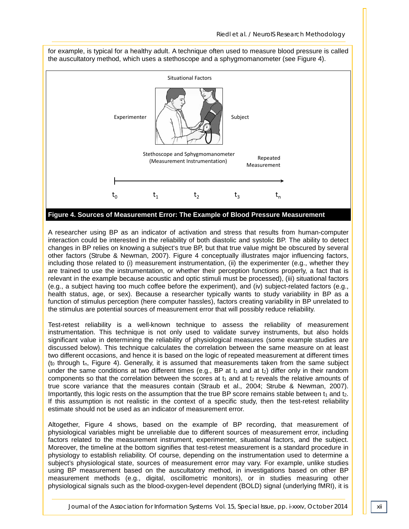

A researcher using BP as an indicator of activation and stress that results from human-computer interaction could be interested in the reliability of both diastolic and systolic BP. The ability to detect changes in BP relies on knowing a subject's true BP, but that true value might be obscured by several other factors (Strube & Newman, 2007). Figure 4 conceptually illustrates major influencing factors, including those related to (i) measurement instrumentation, (ii) the experimenter (e.g., whether they are trained to use the instrumentation, or whether their perception functions properly, a fact that is relevant in the example because acoustic and optic stimuli must be processed), (iii) situational factors (e.g., a subject having too much coffee before the experiment), and (iv) subject-related factors (e.g., health status, age, or sex). Because a researcher typically wants to study variability in BP as a function of stimulus perception (here computer hassles), factors creating variability in BP unrelated to the stimulus are potential sources of measurement error that will possibly reduce reliability.

Test-retest reliability is a well-known technique to assess the reliability of measurement instrumentation. This technique is not only used to validate survey instruments, but also holds significant value in determining the reliability of physiological measures (some example studies are discussed below). This technique calculates the correlation between the same measure on at least two different occasions, and hence it is based on the logic of repeated measurement at different times (to through  $t_n$ , Figure 4). Generally, it is assumed that measurements taken from the same subject under the same conditions at two different times (e.g., BP at  $t_1$  and at  $t_2$ ) differ only in their random components so that the correlation between the scores at  $t_1$  and at  $t_2$  reveals the relative amounts of true score variance that the measures contain (Straub et al., 2004; Strube & Newman, 2007). Importantly, this logic rests on the assumption that the true BP score remains stable between  $t_1$  and  $t_2$ . If this assumption is not realistic in the context of a specific study, then the test-retest reliability estimate should not be used as an indicator of measurement error.

Altogether, Figure 4 shows, based on the example of BP recording, that measurement of physiological variables might be unreliable due to different sources of measurement error, including factors related to the measurement instrument, experimenter, situational factors, and the subject. Moreover, the timeline at the bottom signifies that test-retest measurement is a standard procedure in physiology to establish reliability. Of course, depending on the instrumentation used to determine a subject's physiological state, sources of measurement error may vary. For example, unlike studies using BP measurement based on the auscultatory method, in investigations based on other BP measurement methods (e.g., digital, oscillometric monitors), or in studies measuring other physiological signals such as the blood-oxygen-level dependent (BOLD) signal (underlying fMRI), it is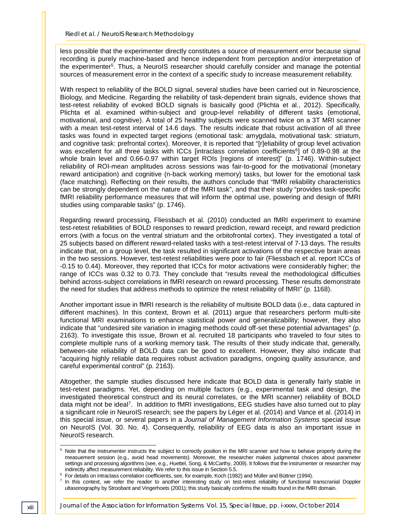less possible that the experimenter directly constitutes a source of measurement error because signal recording is purely machine-based and hence independent from perception and/or interpretation of the experimenter5. Thus, a NeuroIS researcher should carefully consider and manage the potential sources of measurement error in the context of a specific study to increase measurement reliability.

With respect to reliability of the BOLD signal, several studies have been carried out in Neuroscience, Biology, and Medicine. Regarding the reliability of task-dependent brain signals, evidence shows that test-retest reliability of evoked BOLD signals is basically good (Plichta et al., 2012). Specifically, Plichta et al. examined within-subject and group-level reliability of different tasks (emotional, motivational, and cognitive). A total of 25 healthy subjects were scanned twice on a 3T MRI scanner with a mean test-retest interval of 14.6 days. The results indicate that robust activation of all three tasks was found in expected target regions (emotional task: amygdala, motivational task: striatum, and cognitive task: prefrontal cortex). Moreover, it is reported that "[r]eliability of group level activation was excellent for all three tasks with ICCs [intraclass correlation coefficients<sup>6</sup>] of 0.89-0.98 at the whole brain level and 0.66-0.97 within target ROIs [regions of interest]" (p. 1746). Within-subject reliability of ROI-mean amplitudes across sessions was fair-to-good for the motivational (monetary reward anticipation) and cognitive (n-back working memory) tasks, but lower for the emotional task (face matching). Reflecting on their results, the authors conclude that "fMRI reliability characteristics can be strongly dependent on the nature of the fMRI task", and that their study "provides task-specific fMRI reliability performance measures that will inform the optimal use, powering and design of fMRI studies using comparable tasks" (p. 1746).

Regarding reward processing, Fliessbach et al. (2010) conducted an fMRI experiment to examine test-retest reliabilities of BOLD responses to reward prediction, reward receipt, and reward prediction errors (with a focus on the ventral striatum and the orbitofrontal cortex). They investigated a total of 25 subjects based on different reward-related tasks with a test-retest interval of 7-13 days. The results indicate that, on a group level, the task resulted in significant activations of the respective brain areas in the two sessions. However, test-retest reliabilities were poor to fair (Fliessbach et al. report ICCs of -0.15 to 0.44). Moreover, they reported that ICCs for motor activations were considerably higher; the range of ICCs was 0.32 to 0.73. They conclude that "results reveal the methodological difficulties behind across-subject correlations in fMRI research on reward processing. These results demonstrate the need for studies that address methods to optimize the retest reliability of fMRI" (p. 1168).

Another important issue in fMRI research is the reliability of multisite BOLD data (i.e., data captured in different machines). In this context, Brown et al. (2011) argue that researchers perform multi-site functional MRI examinations to enhance statistical power and generalizability; however, they also indicate that "undesired site variation in imaging methods could off-set these potential advantages" (p. 2163). To investigate this issue, Brown et al. recruited 18 participants who traveled to four sites to complete multiple runs of a working memory task. The results of their study indicate that, generally, between-site reliability of BOLD data can be good to excellent. However, they also indicate that "acquiring highly reliable data requires robust activation paradigms, ongoing quality assurance, and careful experimental control" (p. 2163).

Altogether, the sample studies discussed here indicate that BOLD data is generally fairly stable in test-retest paradigms. Yet, depending on multiple factors (e.g., experimental task and design, the investigated theoretical construct and its neural correlates, or the MRI scanner) reliability of BOLD data might not be ideal<sup>7</sup>. In addition to fMRI investigations, EEG studies have also turned out to play a significant role in NeuroIS research; see the papers by Léger et al. (2014) and Vance et al. (2014) in this special issue, or several papers in a *Journal of Management Information Systems* special issue on NeuroIS (Vol. 30. No. 4). Consequently, reliability of EEG data is also an important issue in NeuroIS research.

<sup>&</sup>lt;sup>5</sup> Note that the instrumenter instructs the subject to correctly position in the MRI scanner and how to behave properly during the measuement session (e.g., avoid head movements). Moreover, the researcher makes judgmental choices about parameter settings and processing algorithms (see, e.g., Huettel, Song, & McCarthy, 2009). It follows that the instrumenter or researcher may indirectly affect measurement reliability. We refer to this issue in Section 5.5. -

<sup>&</sup>lt;sup>6</sup> For details on intraclass correlation coefficients, see, for example, Koch (1982) and Müller and Büttner (1994).

 $7$  In this context, we refer the reader to another interesting study on test-retest reliability of functional transcranial Doppler ultasonography by Stroobant and Vingerhoets (2001); this study basically confirms the results found in the fMRI domain.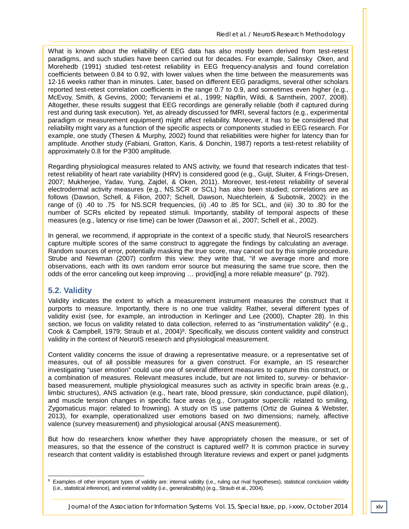What is known about the reliability of EEG data has also mostly been derived from test-retest paradigms, and such studies have been carried out for decades. For example, Salinsky Oken, and Morehedb (1991) studied test-retest reliability in EEG frequency-analysis and found correlation coefficients between 0.84 to 0.92, with lower values when the time between the measurements was 12-16 weeks rather than in minutes. Later, based on different EEG paradigms, several other scholars reported test-retest correlation coefficients in the range 0.7 to 0.9, and sometimes even higher (e.g., McEvoy, Smith, & Gevins, 2000; Tervaniemi et al., 1999; Näpflin, Wildi, & Sarnthein, 2007, 2008). Altogether, these results suggest that EEG recordings are generally reliable (both if captured during rest and during task execution). Yet, as already discussed for fMRI, several factors (e.g., experimental paradigm or measurement equipment) might affect reliability. Moreover, it has to be considered that reliability might vary as a function of the specific aspects or components studied in EEG research. For example, one study (Thesen & Murphy, 2002) found that reliabilities were higher for latency than for amplitude. Another study (Fabiani, Gratton, Karis, & Donchin, 1987) reports a test-retest reliability of approximately 0.8 for the P300 amplitude.

Regarding physiological measures related to ANS activity, we found that research indicates that testretest reliability of heart rate variability (HRV) is considered good (e.g., Guijt, Sluiter, & Frings-Dresen, 2007; Mukherjee, Yadav, Yung, Zajdel, & Oken, 2011). Moreover, test-retest reliability of several electrodermal activity measures (e.g., NS.SCR or SCL) has also been studied; correlations are as follows (Dawson, Schell, & Filion, 2007; Schell, Dawson, Nuechterlein, & Subotnik, 2002): in the range of (i) .40 to .75 for NS.SCR frequencies, (ii) .40 to .85 for SCL, and (iii) .30 to .80 for the number of SCRs elicited by repeated stimuli. Importantly, stability of temporal aspects of these measures (e.g., latency or rise time) can be lower (Dawson et al., 2007; Schell et al., 2002).

In general, we recommend, if appropriate in the context of a specific study, that NeuroIS researchers capture multiple scores of the same construct to aggregate the findings by calculating an average. Random sources of error, potentially masking the true score, may cancel out by this simple procedure. Strube and Newman (2007) confirm this view: they write that, "if we average more and more observations, each with its own random error source but measuring the same true score, then the odds of the error canceling out keep improving … provid[ing] a more reliable measure" (p. 792).

#### **5.2. Validity**

Validity indicates the extent to which a measurement instrument measures the construct that it purports to measure. Importantly, there is no one true validity. Rather, several different types of validity exist (see, for example, an introduction in Kerlinger and Lee (2000), Chapter 28). In this section, we focus on validity related to data collection, referred to as "instrumentation validity" (e.g., Cook & Campbell, 1979; Straub et al., 2004)<sup>8</sup>. Specifically, we discuss content validity and construct validity in the context of NeuroIS research and physiological measurement.

Content validity concerns the issue of drawing a representative measure, or a representative set of measures, out of all possible measures for a given construct. For example, an IS researcher investigating "user emotion" could use one of several different measures to capture this construct, or a combination of measures. Relevant measures include, but are not limited to, survey- or behaviorbased measurement, multiple physiological measures such as activity in specific brain areas (e.g., limbic structures), ANS activation (e.g., heart rate, blood pressure, skin conductance, pupil dilation), and muscle tension changes in specific face areas (e.g., Corrugator supercilii: related to smiling, Zygomaticus major: related to frowning). A study on IS use patterns (Ortiz de Guinea & Webster, 2013), for example, operationalized user emotions based on two dimensions; namely, affective valence (survey measurement) and physiological arousal (ANS measurement).

But how do researchers know whether they have appropriately chosen the measure, or set of measures, so that the essence of the construct is captured well? It is common practice in survey research that content validity is established through literature reviews and expert or panel judgments

<sup>&</sup>lt;sup>8</sup> Examples of other important types of validity are: internal validity (i.e., ruling out rival hypotheses), statistical conclusion validity (i.e., statistical inference), and external validity (i.e., generalizability) (e.g., Straub et al., 2004). -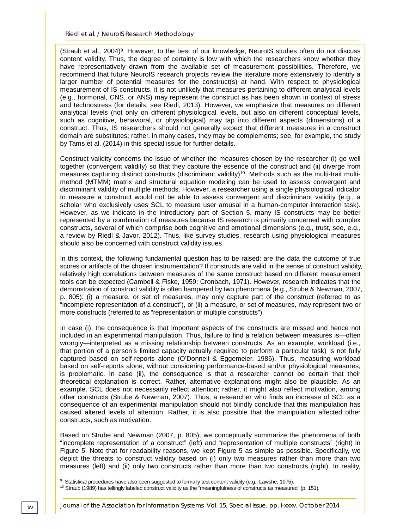(Straub et al., 2004)9. However, to the best of our knowledge, NeuroIS studies often do not discuss content validity. Thus, the degree of certainty is low with which the researchers know whether they have representatively drawn from the available set of measurement possibilities. Therefore, we recommend that future NeuroIS research projects review the literature more extensively to identify a larger number of potential measures for the construct(s) at hand. With respect to physiological measurement of IS constructs, it is not unlikely that measures pertaining to different analytical levels (e.g., hormonal, CNS, or ANS) may represent the construct as has been shown in context of stress and technostress (for details, see Riedl, 2013). However, we emphasize that measures on different analytical levels (not only on different physiological levels, but also on different conceptual levels, such as cognitive, behavioral, or physiological) may tap into different aspects (dimensions) of a construct. Thus, IS researchers should not generally expect that different measures in a construct domain are substitutes; rather, in many cases, they may be complements; see, for example, the study by Tams et al. (2014) in this special issue for further details.

Construct validity concerns the issue of whether the measures chosen by the researcher (i) go well together (convergent validity) so that they capture the essence of the construct and (ii) diverge from measures capturing distinct constructs (discriminant validity)10. Methods such as the multi-trait multimethod (MTMM) matrix and structural equation modeling can be used to assess convergent and discriminant validity of multiple methods. However, a researcher using a single physiological indicator to measure a construct would not be able to assess convergent and discriminant validity (e.g., a scholar who exclusively uses SCL to measure user arousal in a human-computer interaction task). However, as we indicate in the introductory part of Section 5, many IS constructs may be better represented by a combination of measures because IS research is primarily concerned with complex constructs, several of which comprise both cognitive and emotional dimensions (e.g., trust, see, e.g., a review by Riedl & Javor, 2012). Thus, like survey studies, research using physiological measures should also be concerned with construct validity issues.

In this context, the following fundamental question has to be raised: are the data the outcome of true scores or artifacts of the chosen instrumentation? If constructs are valid in the sense of construct validity, relatively high correlations between measures of the same construct based on different measurement tools can be expected (Cambell & Fiske, 1959; Cronbach, 1971). However, research indicates that the demonstration of construct validity is often hampered by two phenomena (e.g., Strube & Newman, 2007, p. 805): (i) a measure, or set of measures, may only capture part of the construct (referred to as "incomplete representation of a construct"), or (ii) a measure, or set of measures, may represent two or more constructs (referred to as "representation of multiple constructs").

In case (i), the consequence is that important aspects of the constructs are missed and hence not included in an experimental manipulation. Thus, failure to find a relation between measures is—often wrongly—interpreted as a missing relationship between constructs. As an example, workload (i.e., that portion of a person's limited capacity actually required to perform a particular task) is not fully captured based on self-reports alone (O'Donnell & Eggemeier, 1986). Thus, measuring workload based on self-reports alone, without considering performance-based and/or physiological measures, is problematic. In case (ii), the consequence is that a researcher cannot be certain that their theoretical explanation is correct. Rather, alternative explanations might also be plausible. As an example, SCL does not necessarily reflect attention; rather, it might also reflect motivation, among other constructs (Strube & Newman, 2007). Thus, a researcher who finds an increase of SCL as a consequence of an experimental manipulation should not blindly conclude that this manipulation has caused altered levels of attention. Rather, it is also possible that the manipulation affected other constructs, such as motivation.

Based on Strube and Newman (2007, p. 805), we conceptually summarize the phenomena of both "incomplete representation of a construct" (left) and "representation of multiple constructs" (right) in Figure 5. Note that for readability reasons, we kept Figure 5 as simple as possible. Specifically, we depict the threats to construct validity based on (i) only two measures rather than more than two measures (left) and (ii) only two constructs rather than more than two constructs (right). In reality,

 $^9\,$  Statistical procedures have also been suggested to formally test content validity (e.g., Lawshe, 1975).

<sup>&</sup>lt;sup>10</sup> Straub (1989) has tellingly labeled construct validity as the "meaningfulness of constructs as measured" (p. 151).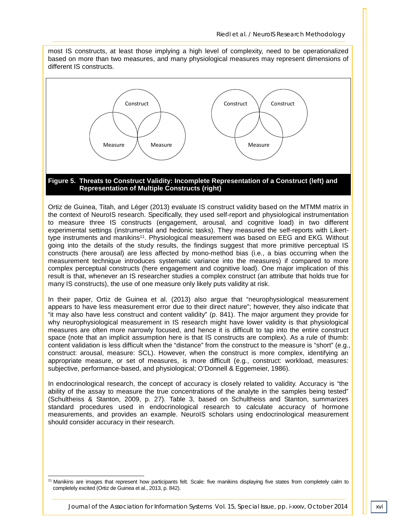most IS constructs, at least those implying a high level of complexity, need to be operationalized based on more than two measures, and many physiological measures may represent dimensions of different IS constructs.



#### **Representation of Multiple Constructs (right)**

Ortiz de Guinea, Titah, and Léger (2013) evaluate IS construct validity based on the MTMM matrix in the context of NeuroIS research. Specifically, they used self-report and physiological instrumentation to measure three IS constructs (engagement, arousal, and cognitive load) in two different experimental settings (instrumental and hedonic tasks). They measured the self-reports with Likerttype instruments and manikins<sup>11</sup>. Physiological measurement was based on EEG and EKG. Without going into the details of the study results, the findings suggest that more primitive perceptual IS constructs (here arousal) are less affected by mono-method bias (i.e., a bias occurring when the measurement technique introduces systematic variance into the measures) if compared to more complex perceptual constructs (here engagement and cognitive load). One major implication of this result is that, whenever an IS researcher studies a complex construct (an attribute that holds true for many IS constructs), the use of one measure only likely puts validity at risk.

In their paper, Ortiz de Guinea et al. (2013) also argue that "neurophysiological measurement appears to have less measurement error due to their direct nature"; however, they also indicate that "it may also have less construct and content validity" (p. 841). The major argument they provide for why neurophysiological measurement in IS research might have lower validity is that physiological measures are often more narrowly focused, and hence it is difficult to tap into the entire construct space (note that an implicit assumption here is that IS constructs are complex). As a rule of thumb: content validation is less difficult when the "distance" from the construct to the measure is "short" (e.g., construct: arousal, measure: SCL). However, when the construct is more complex, identifying an appropriate measure, or set of measures, is more difficult (e.g., construct: workload, measures: subjective, performance-based, and physiological; O'Donnell & Eggemeier, 1986).

In endocrinological research, the concept of accuracy is closely related to validity. Accuracy is "the ability of the assay to measure the true concentrations of the analyte in the samples being tested" (Schultheiss & Stanton, 2009, p. 27). Table 3, based on Schultheiss and Stanton, summarizes standard procedures used in endocrinological research to calculate accuracy of hormone measurements, and provides an example. NeuroIS scholars using endocrinological measurement should consider accuracy in their research.

<sup>11</sup> Manikins are images that represent how participants felt. Scale: five manikins displaying five states from completely calm to completely excited (Ortiz de Guinea et al., 2013, p. 842).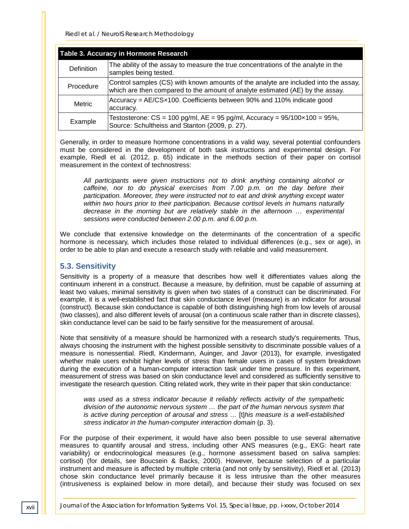| <b>Table 3. Accuracy in Hormone Research</b> |                                                                                                                                                                      |  |
|----------------------------------------------|----------------------------------------------------------------------------------------------------------------------------------------------------------------------|--|
| Definition                                   | The ability of the assay to measure the true concentrations of the analyte in the<br>samples being tested.                                                           |  |
| Procedure                                    | Control samples (CS) with known amounts of the analyte are included into the assay,<br>which are then compared to the amount of analyte estimated (AE) by the assay. |  |
| Metric                                       | $ $ Accuracy = AE/CS $\times$ 100. Coefficients between 90% and 110% indicate good<br>accuracy.                                                                      |  |
| Example                                      | Testosterone: $CS = 100$ pg/ml, $AE = 95$ pg/ml, Accuracy = $95/100 \times 100 = 95\%$ ,<br>Source: Schultheiss and Stanton (2009, p. 27).                           |  |

Generally, in order to measure hormone concentrations in a valid way, several potential confounders must be considered in the development of both task instructions and experimental design. For example, Riedl et al. (2012, p. 65) indicate in the methods section of their paper on cortisol measurement in the context of technostress:

*All participants were given instructions not to drink anything containing alcohol or caffeine, nor to do physical exercises from 7.00 p.m. on the day before their participation. Moreover, they were instructed not to eat and drink anything except water within two hours prior to their participation. Because cortisol levels in humans naturally decrease in the morning but are relatively stable in the afternoon … experimental sessions were conducted between 2.00 p.m. and 6.00 p.m.*

We conclude that extensive knowledge on the determinants of the concentration of a specific hormone is necessary, which includes those related to individual differences (e.g., sex or age), in order to be able to plan and execute a research study with reliable and valid measurement.

#### **5.3. Sensitivity**

Sensitivity is a property of a measure that describes how well it differentiates values along the continuum inherent in a construct. Because a measure, by definition, must be capable of assuming at least two values, minimal sensitivity is given when two states of a construct can be discriminated. For example, it is a well-established fact that skin conductance level (measure) is an indicator for arousal (construct). Because skin conductance is capable of both distinguishing high from low levels of arousal (two classes), and also different levels of arousal (on a continuous scale rather than in discrete classes), skin conductance level can be said to be fairly sensitive for the measurement of arousal.

Note that sensitivity of a measure should be harmonized with a research study's requirements. Thus, always choosing the instrument with the highest possible sensitivity to discriminate possible values of a measure is nonessential. Riedl, Kindermann, Auinger, and Javor (2013), for example, investigated whether male users exhibit higher levels of stress than female users in cases of system breakdown during the execution of a human-computer interaction task under time pressure. In this experiment, measurement of stress was based on skin conductance level and considered as sufficiently sensitive to investigate the research question. Citing related work, they write in their paper that skin conductance:

was used as a stress indicator because it reliably reflects activity of the sympathetic *division of the autonomic nervous system … the part of the human nervous system that is active during perception of arousal and stress …* [t]*his measure is a well-established stress indicator in the human-computer interaction domain* (p. 3).

For the purpose of their experiment, it would have also been possible to use several alternative measures to quantify arousal and stress, including other ANS measures (e.g., EKG: heart rate variability) or endocrinological measures (e.g., hormone assessment based on saliva samples: cortisol) (for details, see Boucsein & Backs, 2000). However, because selection of a particular instrument and measure is affected by multiple criteria (and not only by sensitivity), Riedl et al. (2013) chose skin conductance level primarily because it is less intrusive than the other measures (intrusiveness is explained below in more detail), and because their study was focused on sex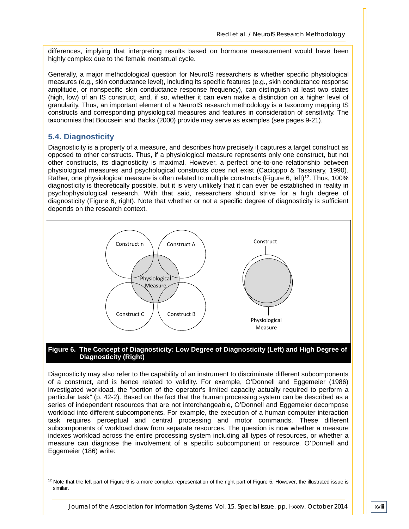differences, implying that interpreting results based on hormone measurement would have been highly complex due to the female menstrual cycle.

Generally, a major methodological question for NeuroIS researchers is whether specific physiological measures (e.g., skin conductance level), including its specific features (e.g., skin conductance response amplitude, or nonspecific skin conductance response frequency), can distinguish at least two states (high, low) of an IS construct, and, if so, whether it can even make a distinction on a higher level of granularity. Thus, an important element of a NeuroIS research methodology is a taxonomy mapping IS constructs and corresponding physiological measures and features in consideration of sensitivity. The taxonomies that Boucsein and Backs (2000) provide may serve as examples (see pages 9-21).

#### **5.4. Diagnosticity**

Diagnosticity is a property of a measure, and describes how precisely it captures a target construct as opposed to other constructs. Thus, if a physiological measure represents only one construct, but not other constructs, its diagnosticity is maximal. However, a perfect one-to-one relationship between physiological measures and psychological constructs does not exist (Cacioppo & Tassinary, 1990). Rather, one physiological measure is often related to multiple constructs (Figure 6, left)<sup>12</sup>. Thus, 100% diagnosticity is theoretically possible, but it is very unlikely that it can ever be established in reality in psychophysiological research. With that said, researchers should strive for a high degree of diagnosticity (Figure 6, right). Note that whether or not a specific degree of diagnosticity is sufficient depends on the research context.



#### **Figure 6. The Concept of Diagnosticity: Low Degree of Diagnosticity (Left) and High Degree of Diagnosticity (Right)**

Diagnosticity may also refer to the capability of an instrument to discriminate different subcomponents of a construct, and is hence related to validity. For example, O'Donnell and Eggemeier (1986) investigated workload, the "portion of the operator's limited capacity actually required to perform a particular task" (p. 42-2). Based on the fact that the human processing system can be described as a series of independent resources that are not interchangeable, O'Donnell and Eggemeier decompose workload into different subcomponents. For example, the execution of a human-computer interaction task requires perceptual and central processing and motor commands. These different subcomponents of workload draw from separate resources. The question is now whether a measure indexes workload across the entire processing system including all types of resources, or whether a measure can diagnose the involvement of a specific subcomponent or resource. O'Donnell and Eggemeier (186) write:

 $12$  Note that the left part of Figure 6 is a more complex representation of the right part of Figure 5. However, the illustrated issue is similar. -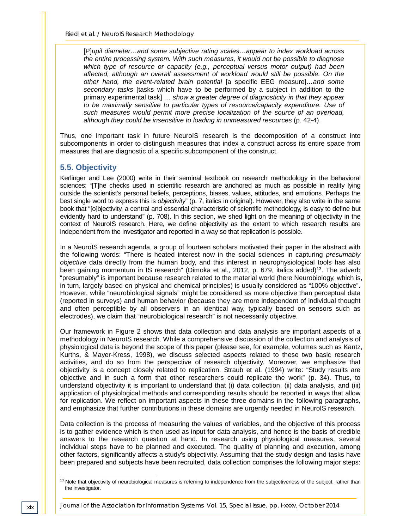[P]*upil diameter…and some subjective rating scales…appear to index workload across the entire processing system. With such measures, it would not be possible to diagnose which type of resource or capacity (e.g., perceptual versus motor output) had been affected, although an overall assessment of workload would still be possible. On the other hand, the event-related brain potential* [a specific EEG measure]*…and some secondary tasks* [tasks which have to be performed by a subject in addition to the primary experimental task] *… show a greater degree of diagnosticity in that they appear to be maximally sensitive to particular types of resource/capacity expenditure. Use of such measures would permit more precise localization of the source of an overload, although they could be insensitive to loading in unmeasured resources* (p. 42-4).

Thus, one important task in future NeuroIS research is the decomposition of a construct into subcomponents in order to distinguish measures that index a construct across its entire space from measures that are diagnostic of a specific subcomponent of the construct.

#### **5.5. Objectivity**

Kerlinger and Lee (2000) write in their seminal textbook on research methodology in the behavioral sciences: "[T]he checks used in scientific research are anchored as much as possible in reality lying outside the scientist's personal beliefs, perceptions, biases, values, attitudes, and emotions. Perhaps the best single word to express this is *objectivity*" (p. 7, italics in original). However, they also write in the same book that "[o]bjectivity, a central and essential characteristic of scientific methodology, is easy to define but evidently hard to understand" (p. 708). In this section, we shed light on the meaning of objectivity in the context of NeuroIS research. Here, we define objectivity as the extent to which research results are independent from the investigator and reported in a way so that replication is possible.

In a NeuroIS research agenda, a group of fourteen scholars motivated their paper in the abstract with the following words: "There is heated interest now in the social sciences in capturing *presumably objective* data directly from the human body, and this interest in neurophysiological tools has also been gaining momentum in IS research" (Dimoka et al., 2012, p. 679, italics added)<sup>13</sup>. The adverb "presumably" is important because research related to the material world (here Neurobiology, which is, in turn, largely based on physical and chemical principles) is usually considered as "100% objective". However, while "neurobiological signals" might be considered as more objective than perceptual data (reported in surveys) and human behavior (because they are more independent of individual thought and often perceptible by all observers in an identical way, typically based on sensors such as electrodes), we claim that "neurobiological research" is not necessarily objective.

Our framework in Figure 2 shows that data collection and data analysis are important aspects of a methodology in NeuroIS research. While a comprehensive discussion of the collection and analysis of physiological data is beyond the scope of this paper (please see, for example, volumes such as Kantz, Kurths, & Mayer-Kress, 1998), we discuss selected aspects related to these two basic research activities, and do so from the perspective of research objectivity. Moreover, we emphasize that objectivity is a concept closely related to replication. Straub et al. (1994) write: "Study results are objective and in such a form that other researchers could replicate the work" (p. 34). Thus, to understand objectivity it is important to understand that (i) data collection, (ii) data analysis, and (iii) application of physiological methods and corresponding results should be reported in ways that allow for replication. We reflect on important aspects in these three domains in the following paragraphs, and emphasize that further contributions in these domains are urgently needed in NeuroIS research.

Data collection is the process of measuring the values of variables, and the objective of this process is to gather evidence which is then used as input for data analysis, and hence is the basis of credible answers to the research question at hand. In research using physiological measures, several individual steps have to be planned and executed. The quality of planning and execution, among other factors, significantly affects a study's objectivity. Assuming that the study design and tasks have been prepared and subjects have been recruited, data collection comprises the following major steps:

<sup>&</sup>lt;sup>13</sup> Note that objectivity of neurobiological measures is referring to independence from the subjectiveness of the subject, rather than the investigator.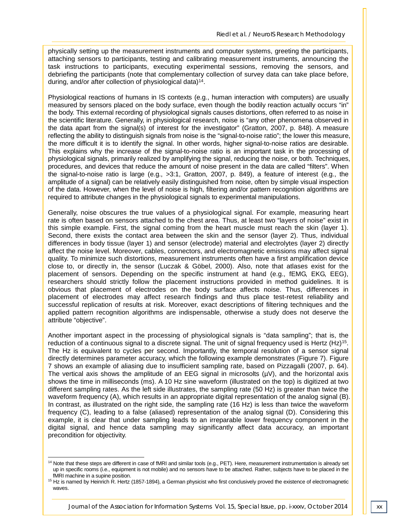physically setting up the measurement instruments and computer systems, greeting the participants, attaching sensors to participants, testing and calibrating measurement instruments, announcing the task instructions to participants, executing experimental sessions, removing the sensors, and debriefing the participants (note that complementary collection of survey data can take place before, during, and/or after collection of physiological data)14.

Physiological reactions of humans in IS contexts (e.g., human interaction with computers) are usually measured by sensors placed on the body surface, even though the bodily reaction actually occurs "in" the body. This external recording of physiological signals causes distortions, often referred to as noise in the scientific literature. Generally, in physiological research, noise is "any other phenomena observed in the data apart from the signal(s) of interest for the investigator" (Gratton, 2007, p. 848). A measure reflecting the ability to distinguish signals from noise is the "signal-to-noise ratio"; the lower this measure, the more difficult it is to identify the signal. In other words, higher signal-to-noise ratios are desirable. This explains why the increase of the signal-to-noise ratio is an important task in the processing of physiological signals, primarily realized by amplifying the signal, reducing the noise, or both. Techniques, procedures, and devices that reduce the amount of noise present in the data are called "filters". When the signal-to-noise ratio is large (e.g., >3:1, Gratton, 2007, p. 849), a feature of interest (e.g., the amplitude of a signal) can be relatively easily distinguished from noise, often by simple visual inspection of the data. However, when the level of noise is high, filtering and/or pattern recognition algorithms are required to attribute changes in the physiological signals to experimental manipulations.

Generally, noise obscures the true values of a physiological signal. For example, measuring heart rate is often based on sensors attached to the chest area. Thus, at least two "layers of noise" exist in this simple example. First, the signal coming from the heart muscle must reach the skin (layer 1). Second, there exists the contact area between the skin and the sensor (layer 2). Thus, individual differences in body tissue (layer 1) and sensor (electrode) material and electrolytes (layer 2) directly affect the noise level. Moreover, cables, connectors, and electromagnetic emissions may affect signal quality. To minimize such distortions, measurement instruments often have a first amplification device close to, or directly in, the sensor (Luczak & Göbel, 2000). Also, note that atlases exist for the placement of sensors. Depending on the specific instrument at hand (e.g., fEMG, EKG, EEG), researchers should strictly follow the placement instructions provided in method guidelines. It is obvious that placement of electrodes on the body surface affects noise. Thus, differences in placement of electrodes may affect research findings and thus place test-retest reliability and successful replication of results at risk. Moreover, exact descriptions of filtering techniques and the applied pattern recognition algorithms are indispensable, otherwise a study does not deserve the attribute "objective".

Another important aspect in the processing of physiological signals is "data sampling"; that is, the reduction of a continuous signal to a discrete signal. The unit of signal frequency used is Hertz  $(Hz)^{15}$ . The Hz is equivalent to cycles per second. Importantly, the temporal resolution of a sensor signal directly determines parameter accuracy, which the following example demonstrates (Figure 7). Figure 7 shows an example of aliasing due to insufficient sampling rate, based on Pizzagalli (2007, p. 64). The vertical axis shows the amplitude of an EEG signal in microsolts  $(\mu V)$ , and the horizontal axis shows the time in milliseconds (ms). A 10 Hz sine waveform (illustrated on the top) is digitized at two different sampling rates. As the left side illustrates, the sampling rate (50 Hz) is greater than twice the waveform frequency (A), which results in an appropriate digital representation of the analog signal (B). In contrast, as illustrated on the right side, the sampling rate (16 Hz) is less than twice the waveform frequency (C), leading to a false (aliased) representation of the analog signal (D). Considering this example, it is clear that under sampling leads to an irreparable lower frequency component in the digital signal, and hence data sampling may significantly affect data accuracy, an important precondition for objectivity.

<sup>&</sup>lt;sup>14</sup> Note that these steps are different in case of fMRI and similar tools (e.g., PET). Here, measurement instrumentation is already set up in specific rooms (i.e., equipment is not mobile) and no sensors have to be attached. Rather, subjects have to be placed in the fMRI machine in a supine position.

<sup>&</sup>lt;sup>15</sup> Hz is named by Heinrich R. Hertz (1857-1894), a German physicist who first conclusively proved the existence of electromagnetic waves.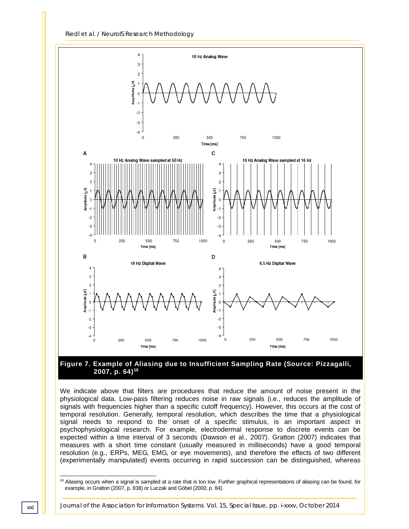

#### **Figure 7. Example of Aliasing due to Insufficient Sampling Rate (Source: Pizzagalli, 2007, p. 64)16**

We indicate above that filters are procedures that reduce the amount of noise present in the physiological data. Low-pass filtering reduces noise in raw signals (i.e., reduces the amplitude of signals with frequencies higher than a specific cutoff frequency). However, this occurs at the cost of temporal resolution. Generally, temporal resolution, which describes the time that a physiological signal needs to respond to the onset of a specific stimulus, is an important aspect in psychophysiological research. For example, electrodermal response to discrete events can be expected within a time interval of 3 seconds (Dawson et al., 2007). Gratton (2007) indicates that measures with a short time constant (usually measured in milliseconds) have a good temporal resolution (e.g., ERPs, MEG, EMG, or eye movements), and therefore the effects of two different (experimentally manipulated) events occurring in rapid succession can be distinguished, whereas

<sup>&</sup>lt;sup>16</sup> Aliasing occurs when a signal is sampled at a rate that is too low. Further graphical representations of aliasing can be found, for example, in Gratton (2007, p. 838) or Luczak and Göbel (2000, p. 84).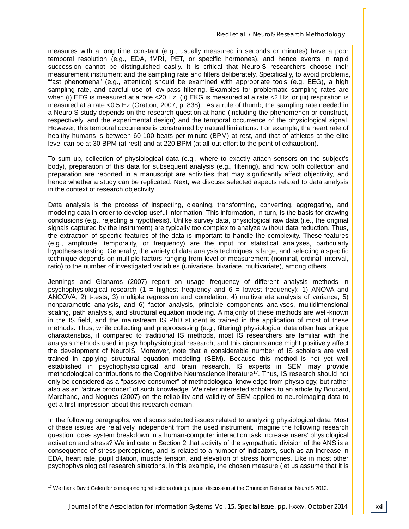measures with a long time constant (e.g., usually measured in seconds or minutes) have a poor temporal resolution (e.g., EDA, fMRI, PET, or specific hormones), and hence events in rapid succession cannot be distinguished easily. It is critical that NeuroIS researchers choose their measurement instrument and the sampling rate and filters deliberately. Specifically, to avoid problems, "fast phenomena" (e.g., attention) should be examined with appropriate tools (e.g. EEG), a high sampling rate, and careful use of low-pass filtering. Examples for problematic sampling rates are when (i) EEG is measured at a rate <20 Hz, (ii) EKG is measured at a rate <2 Hz, or (iii) respiration is measured at a rate <0.5 Hz (Gratton, 2007, p. 838). As a rule of thumb, the sampling rate needed in a NeuroIS study depends on the research question at hand (including the phenomenon or construct, respectively, and the experimental design) and the temporal occurrence of the physiological signal. However, this temporal occurrence is constrained by natural limitations. For example, the heart rate of healthy humans is between 60-100 beats per minute (BPM) at rest, and that of athletes at the elite level can be at 30 BPM (at rest) and at 220 BPM (at all-out effort to the point of exhaustion).

To sum up, collection of physiological data (e.g., where to exactly attach sensors on the subject's body), preparation of this data for subsequent analysis (e.g., filtering), and how both collection and preparation are reported in a manuscript are activities that may significantly affect objectivity, and hence whether a study can be replicated. Next, we discuss selected aspects related to data analysis in the context of research objectivity.

Data analysis is the process of inspecting, cleaning, transforming, converting, aggregating, and modeling data in order to develop useful information. This information, in turn, is the basis for drawing conclusions (e.g., rejecting a hypothesis). Unlike survey data, physiological raw data (i.e., the original signals captured by the instrument) are typically too complex to analyze without data reduction. Thus, the extraction of specific features of the data is important to handle the complexity. These features (e.g., amplitude, temporality, or frequency) are the input for statistical analyses, particularly hypotheses testing. Generally, the variety of data analysis techniques is large, and selecting a specific technique depends on multiple factors ranging from level of measurement (nominal, ordinal, interval, ratio) to the number of investigated variables (univariate, bivariate, multivariate), among others.

Jennings and Gianaros (2007) report on usage frequency of different analysis methods in psychophysiological research (1 = highest frequency and  $6$  = lowest frequency): 1) ANOVA and ANCOVA, 2) t-tests, 3) multiple regression and correlation, 4) multivariate analysis of variance, 5) nonparametric analysis, and 6) factor analysis, principle components analyses, multidimensional scaling, path analysis, and structural equation modeling. A majority of these methods are well-known in the IS field, and the mainstream IS PhD student is trained in the application of most of these methods. Thus, while collecting and preprocessing (e.g., filtering) physiological data often has unique characteristics, if compared to traditional IS methods, most IS researchers are familiar with the analysis methods used in psychophysiological research, and this circumstance might positively affect the development of NeuroIS. Moreover, note that a considerable number of IS scholars are well trained in applying structural equation modeling (SEM). Because this method is not yet well established in psychophysiological and brain research, IS experts in SEM may provide methodological contributions to the Cognitive Neuroscience literature<sup>17</sup>. Thus, IS research should not only be considered as a "passive consumer" of methodological knowledge from physiology, but rather also as an "active producer" of such knowledge. We refer interested scholars to an article by Boucard, Marchand, and Nogues (2007) on the reliability and validity of SEM applied to neuroimaging data to get a first impression about this research domain.

In the following paragraphs, we discuss selected issues related to analyzing physiological data. Most of these issues are relatively independent from the used instrument. Imagine the following research question: does system breakdown in a human-computer interaction task increase users' physiological activation and stress? We indicate in Section 2 that activity of the sympathetic division of the ANS is a consequence of stress perceptions, and is related to a number of indicators, such as an increase in EDA, heart rate, pupil dilation, muscle tension, and elevation of stress hormones. Like in most other psychophysiological research situations, in this example, the chosen measure (let us assume that it is

 $17$  We thank David Gefen for corresponding reflections during a panel discussion at the Gmunden Retreat on NeuroIS 2012. j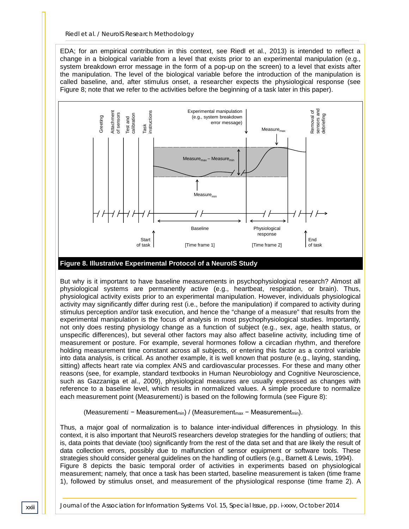EDA; for an empirical contribution in this context, see Riedl et al., 2013) is intended to reflect a change in a biological variable from a level that exists prior to an experimental manipulation (e.g., system breakdown error message in the form of a pop-up on the screen) to a level that exists after the manipulation. The level of the biological variable before the introduction of the manipulation is called baseline, and, after stimulus onset, a researcher expects the physiological response (see Figure 8; note that we refer to the activities before the beginning of a task later in this paper).



**Figure 8. Illustrative Experimental Protocol of a NeuroIS Study**

But why is it important to have baseline measurements in psychophysiological research? Almost all physiological systems are permanently active (e.g., heartbeat, respiration, or brain). Thus, physiological activity exists prior to an experimental manipulation. However, individuals physiological activity may significantly differ during rest (i.e., before the manipulation) if compared to activity during stimulus perception and/or task execution, and hence the "change of a measure" that results from the experimental manipulation is the focus of analysis in most psychophysiological studies. Importantly, not only does resting physiology change as a function of subject (e.g., sex, age, health status, or unspecific differences), but several other factors may also affect baseline activity, including time of measurement or posture. For example, several hormones follow a circadian rhythm, and therefore holding measurement time constant across all subjects, or entering this factor as a control variable into data analysis, is critical. As another example, it is well known that posture (e.g., laying, standing, sitting) affects heart rate via complex ANS and cardiovascular processes. For these and many other reasons (see, for example, standard textbooks in Human Neurobiology and Cognitive Neuroscience, such as Gazzaniga et al., 2009), physiological measures are usually expressed as changes with reference to a baseline level, which results in normalized values. A simple procedure to normalize each measurement point (Measurementi) is based on the following formula (see Figure 8):

(Measurementi − Measurement<sub>min</sub>) / (Measurement<sub>max</sub> − Measurement<sub>min</sub>).

Thus, a major goal of normalization is to balance inter-individual differences in physiology. In this context, it is also important that NeuroIS researchers develop strategies for the handling of outliers; that is, data points that deviate (too) significantly from the rest of the data set and that are likely the result of data collection errors, possibly due to malfunction of sensor equipment or software tools. These strategies should consider general guidelines on the handling of outliers (e.g., Barnett & Lewis, 1994). Figure 8 depicts the basic temporal order of activities in experiments based on physiological measurement; namely, that once a task has been started, baseline measurement is taken (time frame 1), followed by stimulus onset, and measurement of the physiological response (time frame 2). A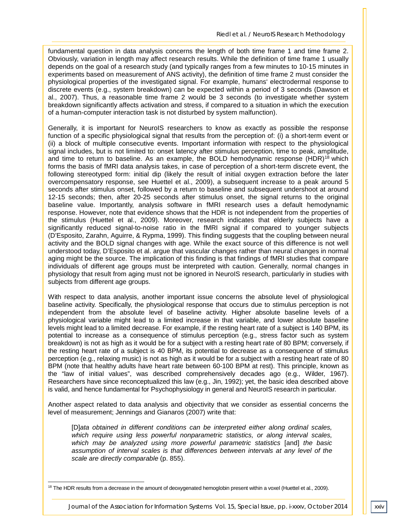fundamental question in data analysis concerns the length of both time frame 1 and time frame 2. Obviously, variation in length may affect research results. While the definition of time frame 1 usually depends on the goal of a research study (and typically ranges from a few minutes to 10-15 minutes in experiments based on measurement of ANS activity), the definition of time frame 2 must consider the physiological properties of the investigated signal. For example, humans' electrodermal response to discrete events (e.g., system breakdown) can be expected within a period of 3 seconds (Dawson et al., 2007). Thus, a reasonable time frame 2 would be 3 seconds (to investigate whether system breakdown significantly affects activation and stress, if compared to a situation in which the execution of a human-computer interaction task is not disturbed by system malfunction).

Generally, it is important for NeuroIS researchers to know as exactly as possible the response function of a specific physiological signal that results from the perception of: (i) a short-term event or (ii) a block of multiple consecutive events. Important information with respect to the physiological signal includes, but is not limited to: onset latency after stimulus perception, time to peak, amplitude, and time to return to baseline. As an example, the BOLD hemodynamic response  $(HDR)^{18}$  which forms the basis of fMRI data analysis takes, in case of perception of a short-term discrete event, the following stereotyped form: initial dip (likely the result of initial oxygen extraction before the later overcompensatory response, see Huettel et al., 2009), a subsequent increase to a peak around 5 seconds after stimulus onset, followed by a return to baseline and subsequent undershoot at around 12-15 seconds; then, after 20-25 seconds after stimulus onset, the signal returns to the original baseline value. Importantly, analysis software in fMRI research uses a default hemodynamic response. However, note that evidence shows that the HDR is not independent from the properties of the stimulus (Huettel et al., 2009). Moreover, research indicates that elderly subjects have a significantly reduced signal-to-noise ratio in the fMRI signal if compared to younger subjects (D'Esposito, Zarahn, Aguirre, & Rypma, 1999). This finding suggests that the coupling between neural activity and the BOLD signal changes with age. While the exact source of this difference is not well understood today, D'Esposito et al. argue that vascular changes rather than neural changes in normal aging might be the source. The implication of this finding is that findings of fMRI studies that compare individuals of different age groups must be interpreted with caution. Generally, normal changes in physiology that result from aging must not be ignored in NeuroIS research, particularly in studies with subjects from different age groups.

With respect to data analysis, another important issue concerns the absolute level of physiological baseline activity. Specifically, the physiological response that occurs due to stimulus perception is not independent from the absolute level of baseline activity. Higher absolute baseline levels of a physiological variable might lead to a limited increase in that variable, and lower absolute baseline levels might lead to a limited decrease. For example, if the resting heart rate of a subject is 140 BPM, its potential to increase as a consequence of stimulus perception (e.g., stress factor such as system breakdown) is not as high as it would be for a subject with a resting heart rate of 80 BPM; conversely, if the resting heart rate of a subject is 40 BPM, its potential to decrease as a consequence of stimulus perception (e.g., relaxing music) is not as high as it would be for a subject with a resting heart rate of 80 BPM (note that healthy adults have heart rate between 60-100 BPM at rest). This principle, known as the "law of initial values", was described comprehensively decades ago (e.g., Wilder, 1967). Researchers have since reconceptualized this law (e.g., Jin, 1992); yet, the basic idea described above is valid, and hence fundamental for Psychophysiology in general and NeuroIS research in particular.

Another aspect related to data analysis and objectivity that we consider as essential concerns the level of measurement; Jennings and Gianaros (2007) write that:

[D]*ata obtained in different conditions can be interpreted either along ordinal scales, which require using less powerful nonparametric statistics, or along interval scales, which may be analyzed using more powerful parametric statistics* [and] *the basic assumption of interval scales is that differences between intervals at any level of the scale are directly comparable* (p. 855).

<sup>&</sup>lt;sup>18</sup> The HDR results from a decrease in the amount of deoxygenated hemoglobin present within a voxel (Huettel et al., 2009). j

*Journal of the Association for Information Systems Vol. 15, Special Issue, pp. i-xxxv, October 2014*  $\bigcup$  xxiv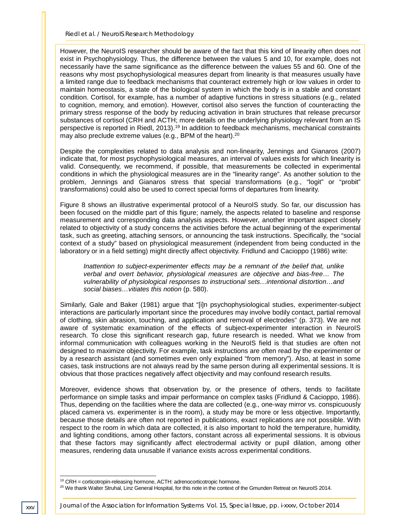However, the NeuroIS researcher should be aware of the fact that this kind of linearity often does not exist in Psychophysiology. Thus, the difference between the values 5 and 10, for example, does not necessarily have the same significance as the difference between the values 55 and 60. One of the reasons why most psychophysiological measures depart from linearity is that measures usually have a limited range due to feedback mechanisms that counteract extremely high or low values in order to maintain homeostasis, a state of the biological system in which the body is in a stable and constant condition. Cortisol, for example, has a number of adaptive functions in stress situations (e.g., related to cognition, memory, and emotion). However, cortisol also serves the function of counteracting the primary stress response of the body by reducing activation in brain structures that release precursor substances of cortisol (CRH and ACTH; more details on the underlying physiology relevant from an IS perspective is reported in Riedl, 2013).<sup>19</sup> In addition to feedback mechanisms, mechanical constraints may also preclude extreme values (e.g., BPM of the heart).<sup>20</sup>

Despite the complexities related to data analysis and non-linearity, Jennings and Gianaros (2007) indicate that, for most psychophysiological measures, an interval of values exists for which linearity is valid. Consequently, we recommend, if possible, that measurements be collected in experimental conditions in which the physiological measures are in the "linearity range". As another solution to the problem, Jennings and Gianaros stress that special transformations (e.g., "logit" or "probit" transformations) could also be used to correct special forms of departures from linearity.

Figure 8 shows an illustrative experimental protocol of a NeuroIS study. So far, our discussion has been focused on the middle part of this figure; namely, the aspects related to baseline and response measurement and corresponding data analysis aspects. However, another important aspect closely related to objectivity of a study concerns the activities before the actual beginning of the experimental task, such as greeting, attaching sensors, or announcing the task instructions. Specifically, the "social context of a study" based on physiological measurement (independent from being conducted in the laboratory or in a field setting) might directly affect objectivity. Fridlund and Cacioppo (1986) write:

*Inattention to subject-experimenter effects may be a remnant of the belief that, unlike verbal and overt behavior, physiological measures are objective and bias-free… The vulnerability of physiological responses to instructional sets…intentional distortion…and social biases…vitiates this notion* (p. 580).

Similarly, Gale and Baker (1981) argue that "[i]n psychophysiological studies, experimenter-subject interactions are particularly important since the procedures may involve bodily contact, partial removal of clothing, skin abrasion, touching, and application and removal of electrodes" (p. 373). We are not aware of systematic examination of the effects of subject-experimenter interaction in NeuroIS research. To close this significant research gap, future research is needed. What we know from informal communication with colleagues working in the NeuroIS field is that studies are often not designed to maximize objectivity. For example, task instructions are often read by the experimenter or by a research assistant (and sometimes even only explained "from memory"). Also, at least in some cases, task instructions are not always read by the same person during all experimental sessions. It is obvious that those practices negatively affect objectivity and may confound research results.

Moreover, evidence shows that observation by, or the presence of others, tends to facilitate performance on simple tasks and impair performance on complex tasks (Fridlund & Cacioppo, 1986). Thus, depending on the facilities where the data are collected (e.g., one-way mirror vs. conspicuously placed camera vs. experimenter is in the room), a study may be more or less objective. Importantly, because those details are often not reported in publications, exact replications are not possible. With respect to the room in which data are collected, it is also important to hold the temperature, humidity, and lighting conditions, among other factors, constant across all experimental sessions. It is obvious that these factors may significantly affect electrodermal activity or pupil dilation, among other measures, rendering data unusable if variance exists across experimental conditions.

*xxv Journal of the Association for Information Systems Vol. 15, Special Issue, pp. i-xxxv, October 2014*

 $19$  CRH = corticotropin-releasing hormone, ACTH: adrenocorticotropic hormone.

<sup>&</sup>lt;sup>20</sup> We thank Walter Struhal, Linz General Hospital, for this note in the context of the Gmunden Retreat on NeuroIS 2014.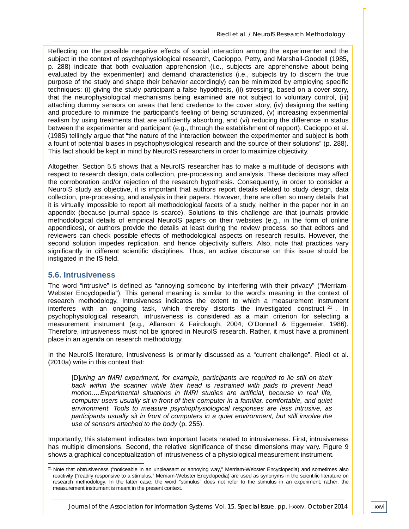Reflecting on the possible negative effects of social interaction among the experimenter and the subject in the context of psychophysiological research, Cacioppo, Petty, and Marshall-Goodell (1985, p. 288) indicate that both evaluation apprehension (i.e., subjects are apprehensive about being evaluated by the experimenter) and demand characteristics (i.e., subjects try to discern the true purpose of the study and shape their behavior accordingly) can be minimized by employing specific techniques: (i) giving the study participant a false hypothesis, (ii) stressing, based on a cover story, that the neurophysiological mechanisms being examined are not subject to voluntary control, (iii) attaching dummy sensors on areas that lend credence to the cover story, (iv) designing the setting and procedure to minimize the participant's feeling of being scrutinized, (v) increasing experimental realism by using treatments that are sufficiently absorbing, and (vi) reducing the difference in status between the experimenter and participant (e.g., through the establishment of rapport). Cacioppo et al. (1985) tellingly argue that "the nature of the interaction between the experimenter and subject is both a fount of potential biases in psychophysiological research and the source of their solutions" (p. 288). This fact should be kept in mind by NeuroIS researchers in order to maximize objectivity.

Altogether, Section 5.5 shows that a NeuroIS researcher has to make a multitude of decisions with respect to research design, data collection, pre-processing, and analysis. These decisions may affect the corroboration and/or rejection of the research hypothesis. Consequently, in order to consider a NeuroIS study as objective, it is important that authors report details related to study design, data collection, pre-processing, and analysis in their papers. However, there are often so many details that it is virtually impossible to report all methodological facets of a study, neither in the paper nor in an appendix (because journal space is scarce). Solutions to this challenge are that journals provide methodological details of empirical NeuroIS papers on their websites (e.g., in the form of online appendices), or authors provide the details at least during the review process, so that editors and reviewers can check possible effects of methodological aspects on research results. However, the second solution impedes replication, and hence objectivity suffers. Also, note that practices vary significantly in different scientific disciplines. Thus, an active discourse on this issue should be instigated in the IS field.

#### **5.6. Intrusiveness**

The word "intrusive" is defined as "annoying someone by interfering with their privacy" ("Merriam-Webster Encyclopedia"). This general meaning is similar to the word's meaning in the context of research methodology. Intrusiveness indicates the extent to which a measurement instrument interferes with an ongoing task, which thereby distorts the investigated construct  $21$ . In psychophysiological research, intrusiveness is considered as a main criterion for selecting a measurement instrument (e.g., Allanson & Fairclough, 2004; O'Donnell & Eggemeier, 1986). Therefore, intrusiveness must not be ignored in NeuroIS research. Rather, it must have a prominent place in an agenda on research methodology.

In the NeuroIS literature, intrusiveness is primarily discussed as a "current challenge". Riedl et al. (2010a) write in this context that:

[D]*uring an fMRI experiment, for example, participants are required to lie still on their back within the scanner while their head is restrained with pads to prevent head motion.…Experimental situations in fMRI studies are artificial, because in real life, computer users usually sit in front of their computer in a familiar, comfortable, and quiet environment. Tools to measure psychophysiological responses are less intrusive, as participants usually sit in front of computers in a quiet environment, but still involve the use of sensors attached to the body* (p. 255).

Importantly, this statement indicates two important facets related to intrusiveness. First, intrusiveness has multiple dimensions. Second, the relative significance of these dimensions may vary. Figure 9 shows a graphical conceptualization of intrusiveness of a physiological measurement instrument.

<sup>&</sup>lt;sup>21</sup> Note that obtrusiveness ("noticeable in an unpleasant or annoying way," Merriam-Webster Encyclopedia) and sometimes also reactivity ("readily responsive to a stimulus," Merriam-Webster Encyclopedia) are used as synonyms in the scientific literature on research methodology. In the latter case, the word "stimulus" does not refer to the stimulus in an experiment; rather, the measurement instrument is meant in the present context. -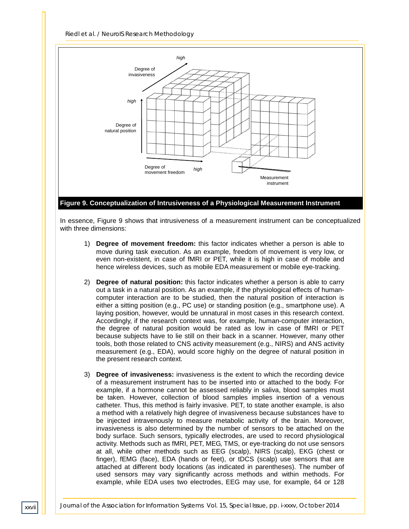*Riedl et al. / NeuroIS Research Methodology*



**Figure 9. Conceptualization of Intrusiveness of a Physiological Measurement Instrument**

In essence, Figure 9 shows that intrusiveness of a measurement instrument can be conceptualized with three dimensions:

- 1) **Degree of movement freedom:** this factor indicates whether a person is able to move during task execution. As an example, freedom of movement is very low, or even non-existent, in case of fMRI or PET, while it is high in case of mobile and hence wireless devices, such as mobile EDA measurement or mobile eye-tracking.
- 2) **Degree of natural position:** this factor indicates whether a person is able to carry out a task in a natural position. As an example, if the physiological effects of humancomputer interaction are to be studied, then the natural position of interaction is either a sitting position (e.g., PC use) or standing position (e.g., smartphone use). A laying position, however, would be unnatural in most cases in this research context. Accordingly, if the research context was, for example, human-computer interaction, the degree of natural position would be rated as low in case of fMRI or PET because subjects have to lie still on their back in a scanner. However, many other tools, both those related to CNS activity measurement (e.g., NIRS) and ANS activity measurement (e.g., EDA), would score highly on the degree of natural position in the present research context.
- 3) **Degree of invasiveness:** invasiveness is the extent to which the recording device of a measurement instrument has to be inserted into or attached to the body. For example, if a hormone cannot be assessed reliably in saliva, blood samples must be taken. However, collection of blood samples implies insertion of a venous catheter. Thus, this method is fairly invasive. PET, to state another example, is also a method with a relatively high degree of invasiveness because substances have to be injected intravenously to measure metabolic activity of the brain. Moreover, invasiveness is also determined by the number of sensors to be attached on the body surface. Such sensors, typically electrodes, are used to record physiological activity. Methods such as fMRI, PET, MEG, TMS, or eye-tracking do not use sensors at all, while other methods such as EEG (scalp), NIRS (scalp), EKG (chest or finger), fEMG (face), EDA (hands or feet), or tDCS (scalp) use sensors that are attached at different body locations (as indicated in parentheses). The number of used sensors may vary significantly across methods and within methods. For example, while EDA uses two electrodes, EEG may use, for example, 64 or 128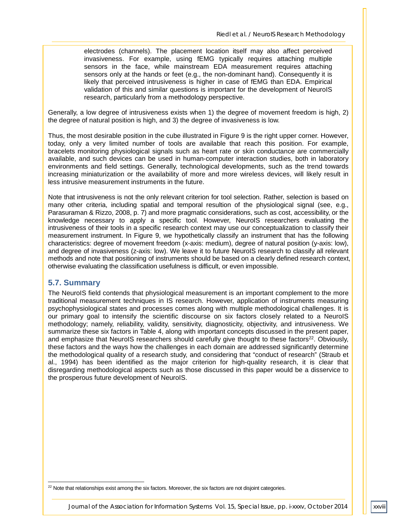electrodes (channels). The placement location itself may also affect perceived invasiveness. For example, using fEMG typically requires attaching multiple sensors in the face, while mainstream EDA measurement requires attaching sensors only at the hands or feet (e.g., the non-dominant hand). Consequently it is likely that perceived intrusiveness is higher in case of fEMG than EDA. Empirical validation of this and similar questions is important for the development of NeuroIS research, particularly from a methodology perspective.

Generally, a low degree of intrusiveness exists when 1) the degree of movement freedom is high, 2) the degree of natural position is high, and 3) the degree of invasiveness is low.

Thus, the most desirable position in the cube illustrated in Figure 9 is the right upper corner. However, today, only a very limited number of tools are available that reach this position. For example, bracelets monitoring physiological signals such as heart rate or skin conductance are commercially available, and such devices can be used in human-computer interaction studies, both in laboratory environments and field settings. Generally, technological developments, such as the trend towards increasing miniaturization or the availability of more and more wireless devices, will likely result in less intrusive measurement instruments in the future.

Note that intrusiveness is not the only relevant criterion for tool selection. Rather, selection is based on many other criteria, including spatial and temporal resultion of the physiological signal (see, e.g., Parasuraman & Rizzo, 2008, p. 7) and more pragmatic considerations, such as cost, accessibility, or the knowledge necessary to apply a specific tool. However, NeuroIS researchers evaluating the intrusiveness of their tools in a specific research context may use our conceptualization to classify their measurement instrument. In Figure 9, we hypothetically classify an instrument that has the following characteristics: degree of movement freedom (x-axis: medium), degree of natural position (y-axis: low), and degree of invasiveness (z-axis: low). We leave it to future NeuroIS research to classify all relevant methods and note that positioning of instruments should be based on a clearly defined research context, otherwise evaluating the classification usefulness is difficult, or even impossible.

#### **5.7. Summary**

The NeuroIS field contends that physiological measurement is an important complement to the more traditional measurement techniques in IS research. However, application of instruments measuring psychophysiological states and processes comes along with multiple methodological challenges. It is our primary goal to intensify the scientific discourse on six factors closely related to a NeuroIS methodology; namely, reliability, validity, sensitivity, diagnosticity, objectivity, and intrusiveness. We summarize these six factors in Table 4, along with important concepts discussed in the present paper, and emphasize that NeuroIS researchers should carefully give thought to these factors<sup>22</sup>. Obviously, these factors and the ways how the challenges in each domain are addressed significantly determine the methodological quality of a research study, and considering that "conduct of research" (Straub et al., 1994) has been identified as the major criterion for high-quality research, it is clear that disregarding methodological aspects such as those discussed in this paper would be a disservice to the prosperous future development of NeuroIS.

 $22$  Note that relationships exist among the six factors. Moreover, the six factors are not disjoint categories. j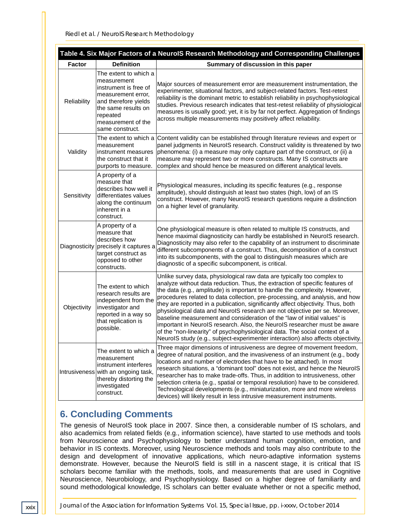| Table 4. Six Major Factors of a NeurolS Research Methodology and Corresponding Challenges |                                                                                                                                                                                         |                                                                                                                                                                                                                                                                                                                                                                                                                                                                                                                                                                                                                                                                                                                                                                                                                      |
|-------------------------------------------------------------------------------------------|-----------------------------------------------------------------------------------------------------------------------------------------------------------------------------------------|----------------------------------------------------------------------------------------------------------------------------------------------------------------------------------------------------------------------------------------------------------------------------------------------------------------------------------------------------------------------------------------------------------------------------------------------------------------------------------------------------------------------------------------------------------------------------------------------------------------------------------------------------------------------------------------------------------------------------------------------------------------------------------------------------------------------|
| <b>Factor</b>                                                                             | <b>Definition</b>                                                                                                                                                                       | Summary of discussion in this paper                                                                                                                                                                                                                                                                                                                                                                                                                                                                                                                                                                                                                                                                                                                                                                                  |
| Reliability                                                                               | The extent to which a<br>measurement<br>instrument is free of<br>measurement error,<br>and therefore yields<br>the same results on<br>repeated<br>measurement of the<br>same construct. | Major sources of measurement error are measurement instrumentation, the<br>experimenter, situational factors, and subject-related factors. Test-retest<br>reliability is the dominant metric to establish reliability in psychophysiological<br>studies. Previous research indicates that test-retest reliability of physiological<br>measures is usually good; yet, it is by far not perfect. Aggregation of findings<br>across multiple measurements may positively affect reliability.                                                                                                                                                                                                                                                                                                                            |
| Validity                                                                                  | The extent to which a<br>measurement<br>instrument measures<br>the construct that it<br>purports to measure.                                                                            | Content validity can be established through literature reviews and expert or<br>panel judgments in NeurolS research. Construct validity is threatened by two<br>phenomena: (i) a measure may only capture part of the construct, or (ii) a<br>measure may represent two or more constructs. Many IS constructs are<br>complex and should hence be measured on different analytical levels.                                                                                                                                                                                                                                                                                                                                                                                                                           |
| Sensitivity                                                                               | A property of a<br>measure that<br>describes how well it<br>differentiates values<br>along the continuum<br>inherent in a<br>construct.                                                 | Physiological measures, including its specific features (e.g., response<br>amplitude), should distinguish at least two states (high, low) of an IS<br>construct. However, many NeurolS research questions require a distinction<br>on a higher level of granularity.                                                                                                                                                                                                                                                                                                                                                                                                                                                                                                                                                 |
|                                                                                           | A property of a<br>measure that<br>describes how<br>Diagnosticity precisely it captures a<br>target construct as<br>opposed to other<br>constructs.                                     | One physiological measure is often related to multiple IS constructs, and<br>hence maximal diagnosticity can hardly be established in NeurolS research.<br>Diagnosticity may also refer to the capability of an instrument to discriminate<br>different subcomponents of a construct. Thus, decomposition of a construct<br>into its subcomponents, with the goal to distinguish measures which are<br>diagnostic of a specific subcomponent, is critical.                                                                                                                                                                                                                                                                                                                                                           |
| Objectivity                                                                               | The extent to which<br>research results are<br>independent from the<br>investigator and<br>reported in a way so<br>that replication is<br>possible.                                     | Unlike survey data, physiological raw data are typically too complex to<br>analyze without data reduction. Thus, the extraction of specific features of<br>the data (e.g., amplitude) is important to handle the complexity. However,<br>procedures related to data collection, pre-processing, and analysis, and how<br>they are reported in a publication, significantly affect objectivity. Thus, both<br>physiological data and NeuroIS research are not objective per se. Moreover,<br>baseline measurement and consideration of the "law of initial values" is<br>important in NeurolS research. Also, the NeurolS researcher must be aware<br>of the "non-linearity" of psychophysiological data. The social context of a<br>NeuroIS study (e.g., subject-experimenter interaction) also affects objectivity. |
|                                                                                           | The extent to which a<br>measurement<br>instrument interferes<br>Intrusiveness with an ongoing task,<br>thereby distorting the<br>investigated<br>construct.                            | Three major dimensions of intrusiveness are degree of movement freedom,<br>degree of natural position, and the invasiveness of an instrument (e.g., body<br>locations and number of electrodes that have to be attached). In most<br>research situations, a "dominant tool" does not exist, and hence the NeurolS<br>researcher has to make trade-offs. Thus, in addition to intrusiveness, other<br>selection criteria (e.g., spatial or temporal resolution) have to be considered.<br>Technological developments (e.g., miniaturization, more and more wireless<br>devices) will likely result in less intrusive measurement instruments.                                                                                                                                                                         |

# **6. Concluding Comments**

The genesis of NeuroIS took place in 2007. Since then, a considerable number of IS scholars, and also academics from related fields (e.g., information science), have started to use methods and tools from Neuroscience and Psychophysiology to better understand human cognition, emotion, and behavior in IS contexts. Moreover, using Neuroscience methods and tools may also contribute to the design and development of innovative applications, which neuro-adaptive information systems demonstrate. However, because the NeuroIS field is still in a nascent stage, it is critical that IS scholars become familiar with the methods, tools, and measurements that are used in Cognitive Neuroscience, Neurobiology, and Psychophysiology. Based on a higher degree of familiarity and sound methodological knowledge, IS scholars can better evaluate whether or not a specific method,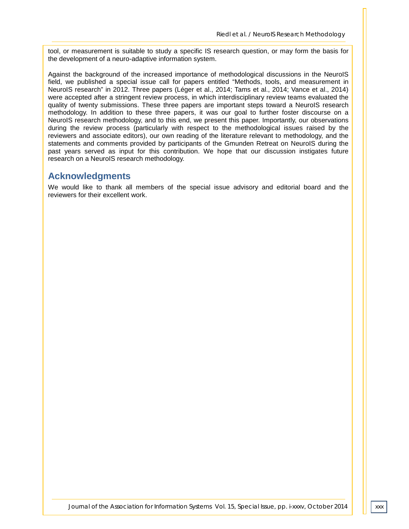tool, or measurement is suitable to study a specific IS research question, or may form the basis for the development of a neuro-adaptive information system.

Against the background of the increased importance of methodological discussions in the NeuroIS field, we published a special issue call for papers entitled "Methods, tools, and measurement in NeuroIS research" in 2012. Three papers (Léger et al., 2014; Tams et al., 2014; Vance et al., 2014) were accepted after a stringent review process, in which interdisciplinary review teams evaluated the quality of twenty submissions. These three papers are important steps toward a NeuroIS research methodology. In addition to these three papers, it was our goal to further foster discourse on a NeuroIS research methodology, and to this end, we present this paper. Importantly, our observations during the review process (particularly with respect to the methodological issues raised by the reviewers and associate editors), our own reading of the literature relevant to methodology, and the statements and comments provided by participants of the Gmunden Retreat on NeuroIS during the past years served as input for this contribution. We hope that our discussion instigates future research on a NeuroIS research methodology.

#### **Acknowledgments**

We would like to thank all members of the special issue advisory and editorial board and the reviewers for their excellent work.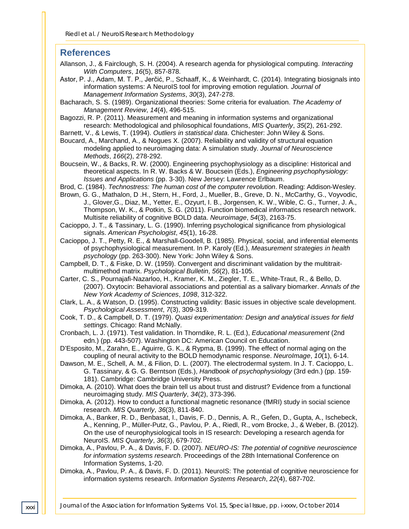#### **References**

- Allanson, J., & Fairclough, S. H. (2004). A research agenda for physiological computing. *Interacting With Computers*, *16*(5), 857-878.
- Astor, P. J., Adam, M. T. P., Jerčić, P., Schaaff, K., & Weinhardt, C. (2014). Integrating biosignals into information systems: A NeuroIS tool for improving emotion regulation*. Journal of Management Information Systems*, *30*(3), 247-278.
- Bacharach, S. S. (1989). Organizational theories: Some criteria for evaluation. *The Academy of Management Review*, *14*(4), 496-515.
- Bagozzi, R. P. (2011). Measurement and meaning in information systems and organizational research: Methodological and philosophical foundations, *MIS Quarterly*, *35*(2), 261-292.
- Barnett, V., & Lewis, T. (1994). *Outliers in statistical data*. Chichester: John Wiley & Sons.
- Boucard, A., Marchand, A., & Nogues X. (2007). Reliability and validity of structural equation modeling applied to neuroimaging data: A simulation study. *Journal of Neuroscience Methods*, *166*(2), 278-292.
- Boucsein, W., & Backs, R. W. (2000). Engineering psychophysiology as a discipline: Historical and theoretical aspects. In R. W. Backs & W. Boucsein (Eds.), *Engineering psychophysiology: Issues and Applications* (pp. 3-30). New Jersey: Lawrence Erlbaum.
- Brod, C. (1984). *Technostress: The human cost of the computer revolution*. Reading: Addison-Wesley.
- Brown, G. G., Mathalon, D .H., Stern, H., Ford, J., Mueller, B., Greve, D. N., McCarthy, G., Voyvodic, J., Glover,G., Diaz, M., Yetter, E., Ozyurt, I. B., Jorgensen, K. W., Wible, C. G., Turner, J. A., Thompson, W. K., & Potkin, S. G. (2011). Function biomedical informatics research network. Multisite reliability of cognitive BOLD data. *Neuroimage*, *54*(3), 2163-75.
- Cacioppo, J. T., & Tassinary, L. G. (1990). Inferring psychological significance from physiological signals. *American Psychologist*, *45*(1), 16-28.
- Cacioppo, J. T., Petty, R. E., & Marshall-Goodell, B. (1985). Physical, social, and inferential elements of psychophysiological measurement. In P. Karoly (Ed.), *Measurement strategies in health psychology* (pp. 263-300). New York: John Wiley & Sons.
- Campbell, D. T., & Fiske, D. W. (1959). Convergent and discriminant validation by the multitraitmultimethod matrix. *Psychological Bulletin*, *56*(2), 81-105.
- Carter, C. S., Pournajafi-Nazarloo, H., Kramer, K. M., Ziegler, T. E., White-Traut, R., & Bello, D. (2007). Oxytocin: Behavioral associations and potential as a salivary biomarker. *Annals of the New York Academy of Sciences*, *1098*, 312-322.
- Clark, L. A., & Watson, D. (1995). Constructing validity: Basic issues in objective scale development. *Psychological Assessment*, *7*(3), 309-319.
- Cook, T. D., & Campbell, D. T. (1979). *Quasi experimentation: Design and analytical issues for field settings*. Chicago: Rand McNally.
- Cronbach, L. J. (1971). Test validation. In Thorndike, R. L. (Ed.), *Educational measurement* (2nd edn.) (pp. 443-507). Washington DC: American Council on Education.
- D'Esposito, M., Zarahn, E., Aguirre, G. K., & Rypma, B. (1999). The effect of normal aging on the coupling of neural activity to the BOLD hemodynamic response. *NeuroImage*, *10*(1), 6-14.
- Dawson, M. E., Schell, A. M., & Filion, D. L. (2007). The electrodermal system. In J. T. Cacioppo, L. G. Tassinary, & G. G. Berntson (Eds.), *Handbook of psychophysiology* (3rd edn.) (pp. 159- 181). Cambridge: Cambridge University Press.
- Dimoka, A. (2010). What does the brain tell us about trust and distrust? Evidence from a functional neuroimaging study. *MIS Quarterly*, *34*(2), 373-396.
- Dimoka, A. (2012). How to conduct a functional magnetic resonance (fMRI) study in social science research. *MIS Quarterly*, *36*(3), 811-840.
- Dimoka, A., Banker, R. D., Benbasat, I., Davis, F. D., Dennis, A. R., Gefen, D., Gupta, A., Ischebeck, A., Kenning, P., Müller-Putz, G., Pavlou, P. A., Riedl, R., vom Brocke, J., & Weber, B. (2012). On the use of neurophysiological tools in IS research: Developing a research agenda for NeuroIS. *MIS Quarterly*, *36*(3), 679-702.
- Dimoka, A., Pavlou, P. A., & Davis, F. D. (2007). *NEURO-IS: The potential of cognitive neuroscience for information systems research*. Proceedings of the 28th International Conference on Information Systems, 1-20.
- Dimoka, A., Pavlou, P. A., & Davis, F. D. (2011). NeuroIS: The potential of cognitive neuroscience for information systems research. *Information Systems Research*, *22*(4), 687-702.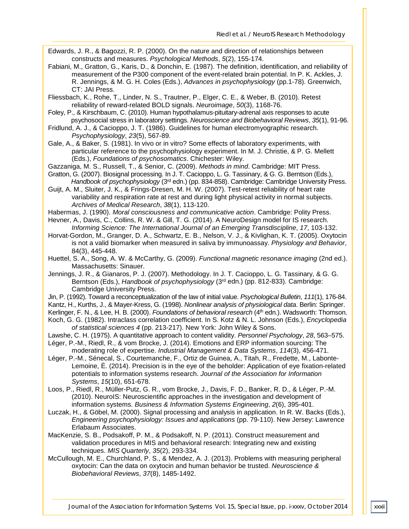Edwards, J. R., & Bagozzi, R. P. (2000). On the nature and direction of relationships between constructs and measures. *Psychological Methods*, *5*(2), 155-174.

- Fabiani, M., Gratton, G., Karis, D., & Donchin, E. (1987). The definition, identification, and reliability of measurement of the P300 component of the event-related brain potential. In P. K. Ackles, J. R. Jennings, & M. G. H. Coles (Eds.), *Advances in psychophysiology* (pp.1-78). Greenwich, CT: JAI Press.
- Fliessbach, K., Rohe, T., Linder, N. S., Trautner, P., Elger, C. E., & Weber, B. (2010). Retest reliability of reward-related BOLD signals. *Neuroimage*, *50*(3), 1168-76.
- Foley, P., & Kirschbaum, C. (2010). Human hypothalamus-pituitary-adrenal axis responses to acute psychosocial stress in laboratory settings. *Neuroscience and Biobehavioral Reviews*, *35*(1), 91-96.
- Fridlund, A. J., & Cacioppo, J. T. (1986). Guidelines for human electromyographic research. *Psychophysiology*, *23*(5), 567-89.
- Gale, A., & Baker, S. (1981). In vivo or in vitro? Some effects of laboratory experiments, with particular reference to the psychophysiology experiment. In M. J. Christie, & P. G. Mellett (Eds.), *Foundations of psychosomatics*. Chichester: Wiley.
- Gazzaniga, M. S., Russell, T., & Senior, C. (2009). *Methods in mind*. Cambridge: MIT Press.
- Gratton, G. (2007). Biosignal processing. In J. T. Cacioppo, L. G. Tassinary, & G. G. Berntson (Eds.), *Handbook of psychophysiology* (3rd edn.) (pp. 834-858). Cambridge: Cambridge University Press.
- Guijt, A. M., Sluiter, J. K., & Frings-Dresen, M. H. W. (2007). Test-retest reliability of heart rate variability and respiration rate at rest and during light physical activity in normal subjects. *Archives of Medical Research*, *38*(1), 113-120.
- Habermas, J. (1990). *Moral consciousness and communicative action*. Cambridge: Polity Press.
- Hevner, A., Davis, C., Collins, R. W. & Gill, T. G. (2014). A NeuroDesign model for IS research. *Informing Science: The International Journal of an Emerging Transdiscipline*, *17*, 103-132.
- Horvat-Gordon, M., Granger, D. A., Schwartz, E. B., Nelson, V. J., & Kivlighan, K. T. (2005). Oxytocin is not a valid biomarker when measured in saliva by immunoassay. *Physiology and Behavior*, 84(3), 445-448.
- Huettel, S. A., Song, A. W. & McCarthy, G. (2009). *Functional magnetic resonance imaging* (2nd ed.). Massachusetts: Sinauer.
- Jennings, J. R., & Gianaros, P. J. (2007). Methodology. In J. T. Cacioppo, L. G. Tassinary, & G. G. Berntson (Eds.), *Handbook of psychophysiology* (3rd edn.) (pp. 812-833). Cambridge: Cambridge University Press.
- Jin, P. (1992). Toward a reconceptualization of the law of initial value. *Psychological Bulletin*, *111*(1), 176-84.
- Kantz, H., Kurths, J., & Mayer-Kress, G. (1998). *Nonlinear analysis of physiological data*. Berlin: Springer.
- Kerlinger, F. N., & Lee, H. B. (2000). *Foundations of behavioral research* (4<sup>th</sup> edn.). Wadsworth: Thomson.
- Koch, G. G. (1982). Intraclass correlation coefficient. In S. Kotz & N. L. Johnson (Eds.), *Encyclopedia of statistical sciences 4* (pp. 213-217). New York: John Wiley & Sons.
- Lawshe, C. H. (1975). A quantitative approach to content validity. *Personnel Psychology*, *28*, 563–575.
- Léger, P.-M., Riedl, R., & vom Brocke, J. (2014). Emotions and ERP information sourcing: The moderating role of expertise. *Industrial Management & Data Systems*, *114*(3), 456-471.
- Léger, P.-M., Sénecal, S., Courtemanche, F., Ortiz de Guinea, A., Titah, R., Fredette, M., Labonte-Lemoine, È. (2014). Precision is in the eye of the beholder: Application of eye fixation-related potentials to information systems research. *Journal of the Association for Information Systems*, *15*(10), 651-678.
- Loos, P., Riedl, R., Müller-Putz, G. R., vom Brocke, J., Davis, F. D., Banker, R. D., & Léger, P.-M. (2010). NeuroIS: Neuroscientific approaches in the investigation and development of information systems. *Business & Information Systems Engineering*, *2*(6), 395-401.
- Luczak, H., & Göbel, M. (2000). Signal processing and analysis in application. In R. W. Backs (Eds.), *Engineering psychophysiology: Issues and applications* (pp. 79-110). New Jersey: Lawrence Erlabaum Associates.
- MacKenzie, S. B., Podsakoff, P. M., & Podsakoff, N. P. (2011). Construct measurement and validation procedures in MIS and behavioral research: Integrating new and existing techniques. *MIS Quarterly*, *35*(2), 293-334.
- McCullough, M. E., Churchland, P. S., & Mendez, A. J. (2013). Problems with measuring peripheral oxytocin: Can the data on oxytocin and human behavior be trusted. *Neuroscience & Biobehavioral Reviews*, *37*(8), 1485-1492.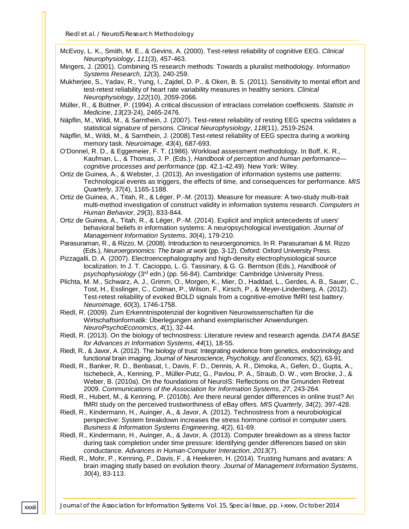- McEvoy, L. K., Smith, M. E., & Gevins, A. (2000). Test-retest reliability of cognitive EEG. *Clinical Neurophysiology*, *111*(3), 457-463.
- Mingers, J. (2001). Combining IS research methods: Towards a pluralist methodology. *Information Systems Research*, *12*(3), 240-259.
- Mukherjee, S., Yadav, R., Yung, I., Zajdel, D. P., & Oken, B. S. (2011). Sensitivity to mental effort and test-retest reliability of heart rate variability measures in healthy seniors. *Clinical Neurophysiology*, *122*(10), 2059-2066.
- Müller, R., & Büttner, P. (1994). A critical discussion of intraclass correlation coefficients. *Statistic in Medicine*, *13*(23-24), 2465-2476.
- Näpflin, M., Wildi, M., & Sarnthein, J. (2007). Test-retest reliability of resting EEG spectra validates a statistical signature of persons. *Clinical Neurophysiology*, *118*(11), 2519-2524.
- Näpflin, M., Wildi, M., & Sarnthein, J. (2008).Test-retest reliability of EEG spectra during a working memory task. *Neuroimage*, *43*(4), 687-693.
- O'Donnel, R. D., & Eggemeier, F. T. (1986). Workload assessment methodology. In Boff, K. R., Kaufman, L., & Thomas, J. P. (Eds.), *Handbook of perception and human performance cognitive processes and performance* (pp. 42.1-42.49). New York: Wiley.
- Ortiz de Guinea, A., & Webster, J. (2013). An investigation of information systems use patterns: Technological events as triggers, the effects of time, and consequences for performance. *MIS Quarterly*, *37*(4), 1165-1188.
- Ortiz de Guinea, A., Titah, R., & Léger, P.-M. (2013). Measure for measure: A two-study multi-trait multi-method investigation of construct validity in information systems research. *Computers in Human Behavior*, *29*(3), 833-844.
- Ortiz de Guinea, A., Titah, R., & Léger, P.-M. (2014). Explicit and implicit antecedents of users' behavioral beliefs in information systems: A neuropsychological investigation. *Journal of Management Information Systems*, *30*(4), 179-210.
- Parasuraman, R., & Rizzo, M. (2008). Introduction to neuroergonomics. In R. Parasuraman & M. Rizzo (Eds.), *Neuroergonomics: The brain at work* (pp. 3-12). Oxford: Oxford University Press.
- Pizzagalli, D. A. (2007). Electroencephalography and high-density electrophysiological source localization. In J. T. Cacioppo, L. G. Tassinary, & G. G. Berntson (Eds.), *Handbook of psychophysiology* (3rd edn.) (pp. 56-84). Cambridge: Cambridge University Press.
- Plichta, M. M., Schwarz, A. J., Grimm, O., Morgen, K., Mier, D., Haddad, L., Gerdes, A. B., Sauer, C., Tost, H., Esslinger, C., Colman, P., Wilson, F., Kirsch, P., & Meyer-Lindenberg, A. (2012). Test-retest reliability of evoked BOLD signals from a cognitive-emotive fMRI test battery. *Neuroimage*, *60*(3), 1746-1758.
- Riedl, R. (2009). Zum Erkenntnispotenzial der kognitiven Neurowissenschaften für die Wirtschaftsinformatik: Überlegungen anhand exemplarischer Anwendungen. *NeuroPsychoEconomics*, *4*(1), 32-44.
- Riedl, R. (2013). On the biology of technostress: Literature review and research agenda. *DATA BASE for Advances in Information Systems*, *44*(1), 18-55.
- Riedl, R., & Javor, A. (2012). The biology of trust: Integrating evidence from genetics, endocrinology and functional brain imaging. *Journal of Neuroscience, Psychology, and Economics*, *5*(2), 63-91.
- Riedl, R., Banker, R. D., Benbasat, I., Davis, F. D., Dennis, A. R., Dimoka, A., Gefen, D., Gupta, A., Ischebeck, A., Kenning, P., Müller-Putz, G., Pavlou, P. A., Straub, D. W., vom Brocke, J., & Weber, B. (2010a). On the foundations of NeuroIS: Reflections on the Gmunden Retreat 2009. *Communications of the Association for Information Systems*, *27*, 243-264.
- Riedl, R., Hubert, M., & Kenning, P. (2010b). Are there neural gender differences in online trust? An fMRI study on the perceived trustworthiness of eBay offers. *MIS Quarterly*, *34*(2), 397-428.
- Riedl, R., Kindermann, H., Auinger, A., & Javor, A. (2012). Technostress from a neurobiological perspective: System breakdown increases the stress hormone cortisol in computer users. *Business & Information Systems Engineering*, *4*(2), 61-69.
- Riedl, R., Kindermann, H., Auinger, A., & Javor, A. (2013). Computer breakdown as a stress factor during task completion under time pressure: Identifying gender differences based on skin conductance. *Advances in Human-Computer Interaction*, *2013*(7).
- Riedl, R., Mohr, P., Kenning, P., Davis, F., & Heekeren, H. (2014). Trusting humans and avatars: A brain imaging study based on evolution theory. *Journal of Management Information Systems*, *30*(4), 83-113.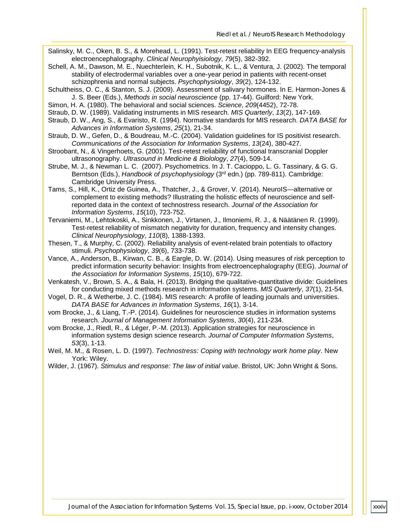- Salinsky, M. C., Oken, B. S., & Morehead, L. (1991). Test-retest reliability In EEG frequency-analysis electroencephalography. *Clinical Neurophyisiology*, *79*(5), 382-392.
- Schell, A. M., Dawson, M. E., Nuechterlein, K. H., Subotnik, K. L., & Ventura, J. (2002). The temporal stability of electrodermal variables over a one-year period in patients with recent-onset schizophrenia and normal subjects. *Psychophysiology*, *39*(2), 124-132.
- Schultheiss, O. C., & Stanton, S. J. (2009). Assessment of salivary hormones. In E. Harmon-Jones & J. S. Beer (Eds.), *Methods in social neuroscience* (pp. 17-44). Guilford: New York.
- Simon, H. A. (1980). The behavioral and social sciences. *Science*, *209*(4452), 72-78.
- Straub, D. W. (1989). Validating instruments in MIS research. *MIS Quarterly*, *13*(2), 147-169.
- Straub, D. W., Ang, S., & Evaristo, R. (1994). Normative standards for MIS research. *DATA BASE for Advances in Information Systems*, *25*(1), 21-34.
- Straub, D. W., Gefen, D., & Boudreau, M.-C. (2004). Validation guidelines for IS positivist research. *Communications of the Association for Information Systems*, *13*(24), 380-427.
- Stroobant, N., & Vingerhoets, G. (2001). Test-retest reliability of functional transcranial Doppler ultrasonography. *Ultrasound in Medicine & Biolology*, *27*(4), 509-14.
- Strube, M. J., & Newman L. C. (2007). Psychometrics. In J. T. Cacioppo, L. G. Tassinary, & G. G. Berntson (Eds.), *Handbook of psychophysiology* (3rd edn.) (pp. 789-811). Cambridge: Cambridge University Press.
- Tams, S., Hill, K., Ortiz de Guinea, A., Thatcher, J., & Grover, V. (2014). NeuroIS—alternative or complement to existing methods? Illustrating the holistic effects of neuroscience and selfreported data in the context of technostress research. *Journal of the Association for Information Systems*, *15*(10), 723-752.
- Tervaniemi, M., Lehtokoski, A., Sinkkonen, J., Virtanen, J., Ilmoniemi, R. J., & Näätänen R. (1999). Test-retest reliability of mismatch negativity for duration, frequency and intensity changes. *Clinical Neurophysiology*, *110*(8), 1388-1393.
- Thesen, T., & Murphy, C. (2002). Reliability analysis of event-related brain potentials to olfactory stimuli. *Psychophysiology*, *39*(6), 733-738.
- Vance, A., Anderson, B., Kirwan, C. B., & Eargle, D. W. (2014). Using measures of risk perception to predict information security behavior: Insights from electroencephalography (EEG). *Journal of the Association for Information Systems*, *15*(10), 679-722.
- Venkatesh, V., Brown, S. A., & Bala, H. (2013). Bridging the qualitative-quantitative divide: Guidelines for conducting mixed methods research in information systems. *MIS Quarterly*, *37*(1), 21-54.
- Vogel, D. R., & Wetherbe, J. C. (1984). MIS research: A profile of leading journals and universities. *DATA BASE for Advances in Information Systems*, *16*(1), 3-14.
- vom Brocke, J., & Liang, T.-P. (2014). Guidelines for neuroscience studies in information systems research. *Journal of Management Information Systems*, *30*(4), 211-234.
- vom Brocke, J., Riedl, R., & Léger, P.-M. (2013). Application strategies for neuroscience in information systems design science research. *Journal of Computer Information Systems*, *53*(3), 1-13.
- Weil, M. M., & Rosen, L. D. (1997). *Technostress: Coping with technology work home play*. New York: Wiley.
- Wilder, J. (1967). *Stimulus and response: The law of initial value*. Bristol, UK: John Wright & Sons.